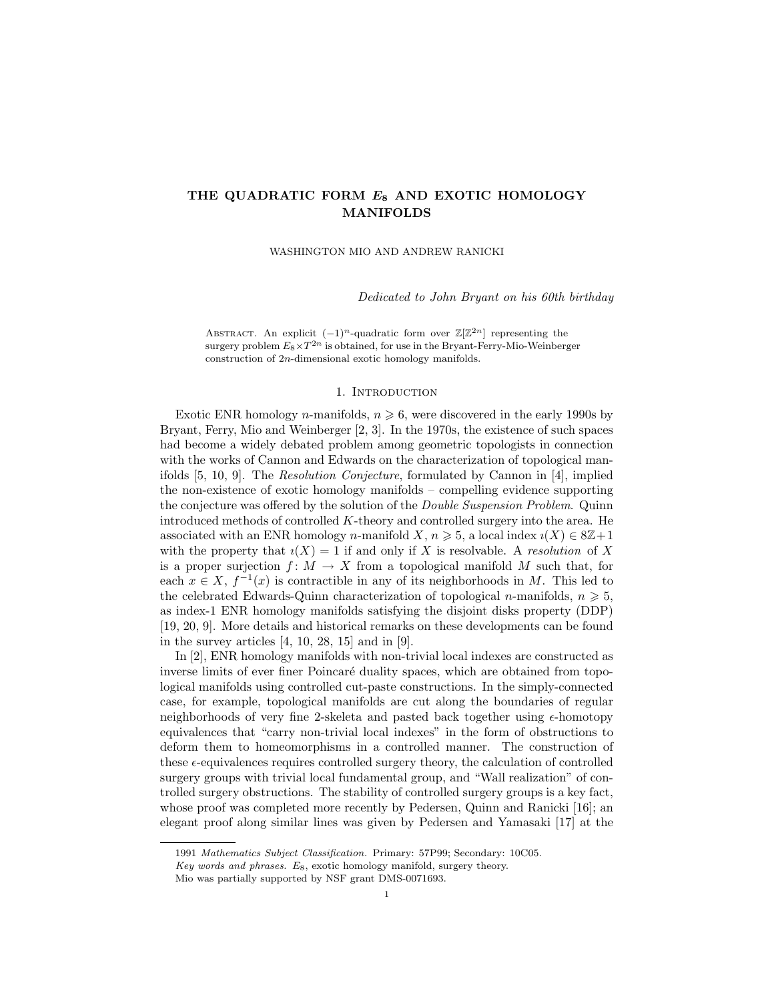# THE QUADRATIC FORM  $E_8$  AND EXOTIC HOMOLOGY MANIFOLDS

WASHINGTON MIO AND ANDREW RANICKI

Dedicated to John Bryant on his 60th birthday

ABSTRACT. An explicit  $(-1)^n$ -quadratic form over  $\mathbb{Z}[\mathbb{Z}^{2n}]$  representing the surgery problem  $E_8\times T^{2n}$  is obtained, for use in the Bryant-Ferry-Mio-Weinberger construction of 2n-dimensional exotic homology manifolds.

### 1. INTRODUCTION

Exotic ENR homology *n*-manifolds,  $n \geq 6$ , were discovered in the early 1990s by Bryant, Ferry, Mio and Weinberger [2, 3]. In the 1970s, the existence of such spaces had become a widely debated problem among geometric topologists in connection with the works of Cannon and Edwards on the characterization of topological manifolds [5, 10, 9]. The Resolution Conjecture, formulated by Cannon in [4], implied the non-existence of exotic homology manifolds – compelling evidence supporting the conjecture was offered by the solution of the Double Suspension Problem. Quinn introduced methods of controlled  $K$ -theory and controlled surgery into the area. He associated with an ENR homology n-manifold  $X, n \geq 5$ , a local index  $i(X) \in 8\mathbb{Z}+1$ with the property that  $i(X) = 1$  if and only if X is resolvable. A resolution of X is a proper surjection  $f: M \to X$  from a topological manifold M such that, for each  $x \in X$ ,  $f^{-1}(x)$  is contractible in any of its neighborhoods in M. This led to the celebrated Edwards-Quinn characterization of topological n-manifolds,  $n \geq 5$ , as index-1 ENR homology manifolds satisfying the disjoint disks property (DDP) [19, 20, 9]. More details and historical remarks on these developments can be found in the survey articles  $[4, 10, 28, 15]$  and in  $[9]$ .

In [2], ENR homology manifolds with non-trivial local indexes are constructed as inverse limits of ever finer Poincaré duality spaces, which are obtained from topological manifolds using controlled cut-paste constructions. In the simply-connected case, for example, topological manifolds are cut along the boundaries of regular neighborhoods of very fine 2-skeleta and pasted back together using  $\epsilon$ -homotopy equivalences that "carry non-trivial local indexes" in the form of obstructions to deform them to homeomorphisms in a controlled manner. The construction of these  $\epsilon$ -equivalences requires controlled surgery theory, the calculation of controlled surgery groups with trivial local fundamental group, and "Wall realization" of controlled surgery obstructions. The stability of controlled surgery groups is a key fact, whose proof was completed more recently by Pedersen, Quinn and Ranicki [16]; an elegant proof along similar lines was given by Pedersen and Yamasaki [17] at the

<sup>1991</sup> Mathematics Subject Classification. Primary: 57P99; Secondary: 10C05.

Key words and phrases.  $E_8$ , exotic homology manifold, surgery theory.

Mio was partially supported by NSF grant DMS-0071693.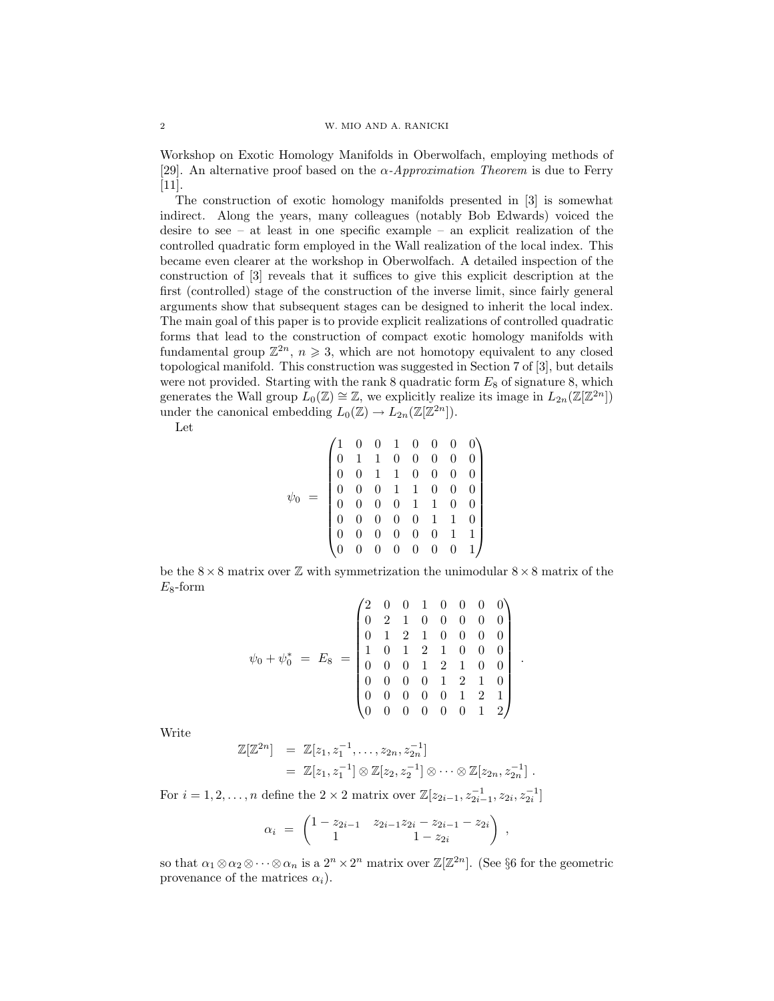### 2 W. MIO AND A. RANICKI

Workshop on Exotic Homology Manifolds in Oberwolfach, employing methods of [29]. An alternative proof based on the  $\alpha$ -Approximation Theorem is due to Ferry [11].

The construction of exotic homology manifolds presented in [3] is somewhat indirect. Along the years, many colleagues (notably Bob Edwards) voiced the desire to see – at least in one specific example – an explicit realization of the controlled quadratic form employed in the Wall realization of the local index. This became even clearer at the workshop in Oberwolfach. A detailed inspection of the construction of [3] reveals that it suffices to give this explicit description at the first (controlled) stage of the construction of the inverse limit, since fairly general arguments show that subsequent stages can be designed to inherit the local index. The main goal of this paper is to provide explicit realizations of controlled quadratic forms that lead to the construction of compact exotic homology manifolds with fundamental group  $\mathbb{Z}^{2n}$ ,  $n \geqslant 3$ , which are not homotopy equivalent to any closed topological manifold. This construction was suggested in Section 7 of [3], but details were not provided. Starting with the rank 8 quadratic form  $E_8$  of signature 8, which generates the Wall group  $\widetilde{L}_0(\mathbb{Z}) \cong \mathbb{Z}$ , we explicitly realize its image in  $L_{2n}(\mathbb{Z}[\mathbb{Z}^{2n}])$ under the canonical embedding  $L_0(\mathbb{Z}) \to L_{2n}(\mathbb{Z}[\mathbb{Z}^{2n}]).$ 

Let

ψ<sup>0</sup> = 1 0 0 1 0 0 0 0 0 1 1 0 0 0 0 0 0 0 1 1 0 0 0 0 0 0 0 1 1 0 0 0 0 0 0 0 1 1 0 0 0 0 0 0 0 1 1 0 0 0 0 0 0 0 1 1 0 0 0 0 0 0 0 1 

be the  $8\times8$  matrix over Z with symmetrization the unimodular  $8\times8$  matrix of the  $E_8$ -form

$$
\psi_0 + \psi_0^* = E_8 = \begin{pmatrix} 2 & 0 & 0 & 1 & 0 & 0 & 0 & 0 \\ 0 & 2 & 1 & 0 & 0 & 0 & 0 & 0 \\ 0 & 1 & 2 & 1 & 0 & 0 & 0 & 0 \\ 1 & 0 & 1 & 2 & 1 & 0 & 0 & 0 \\ 0 & 0 & 0 & 1 & 2 & 1 & 0 & 0 \\ 0 & 0 & 0 & 0 & 1 & 2 & 1 & 0 \\ 0 & 0 & 0 & 0 & 0 & 1 & 2 & 1 \\ 0 & 0 & 0 & 0 & 0 & 0 & 1 & 2 \end{pmatrix}
$$

.

Write

$$
\mathbb{Z}[\mathbb{Z}^{2n}] = \mathbb{Z}[z_1, z_1^{-1}, \dots, z_{2n}, z_{2n}^{-1}]
$$
  
=  $\mathbb{Z}[z_1, z_1^{-1}] \otimes \mathbb{Z}[z_2, z_2^{-1}] \otimes \cdots \otimes \mathbb{Z}[z_{2n}, z_{2n}^{-1}].$ 

For  $i = 1, 2, ..., n$  define the  $2 \times 2$  matrix over  $\mathbb{Z}[z_{2i-1}, z_{2i-1}, z_{2i}, z_{2i}^{-1}]$ 

$$
\alpha_i = \begin{pmatrix} 1 - z_{2i-1} & z_{2i-1}z_{2i} - z_{2i-1} - z_{2i} \\ 1 & 1 - z_{2i} \end{pmatrix} ,
$$

so that  $\alpha_1 \otimes \alpha_2 \otimes \cdots \otimes \alpha_n$  is a  $2^n \times 2^n$  matrix over  $\mathbb{Z}[\mathbb{Z}^{2n}]$ . (See §6 for the geometric provenance of the matrices  $\alpha_i$ ).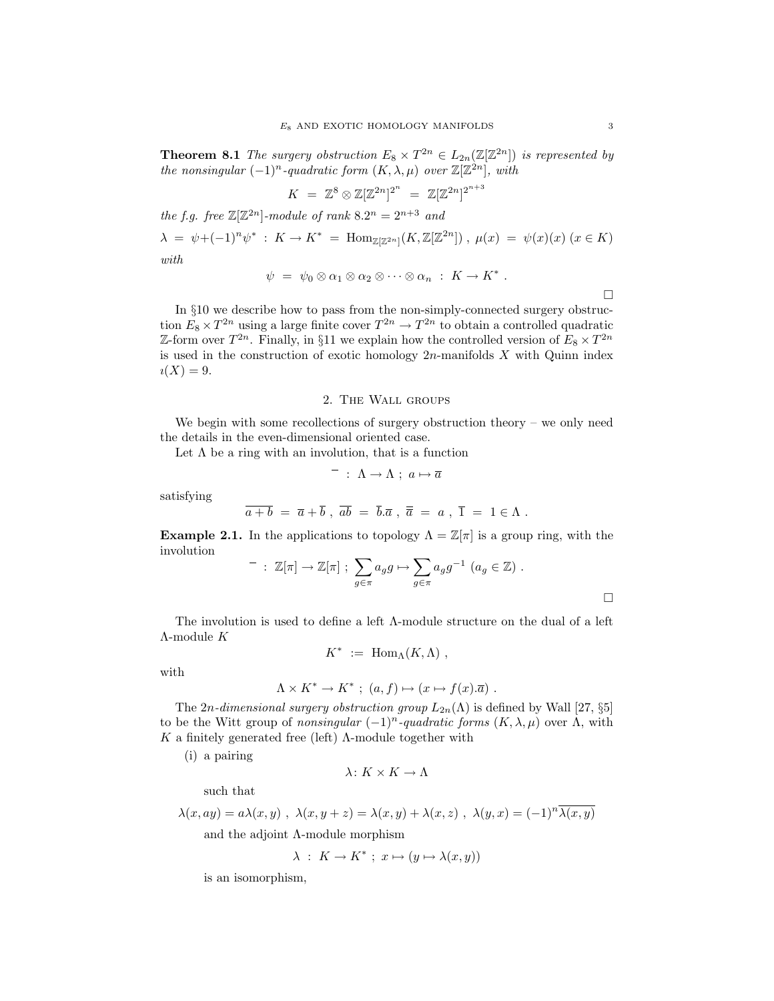**Theorem 8.1** The surgery obstruction  $E_8 \times T^{2n} \in L_{2n}(\mathbb{Z}[\mathbb{Z}^{2n}])$  is represented by the nonsingular  $(-1)^n$ -quadratic form  $(K, \lambda, \mu)$  over  $\mathbb{Z}[\mathbb{Z}^{2n}]$ , with

$$
K = \mathbb{Z}^8 \otimes \mathbb{Z}[\mathbb{Z}^{2n}]^{2^n} = \mathbb{Z}[\mathbb{Z}^{2n}]^{2^{n+3}}
$$

the f.g. free  $\mathbb{Z}[\mathbb{Z}^{2n}]$ -module of rank  $8.2^n = 2^{n+3}$  and  $\lambda = \psi + (-1)^n \psi^* : K \to K^* = \text{Hom}_{\mathbb{Z}[\mathbb{Z}^{2n}]}(K, \mathbb{Z}[\mathbb{Z}^{2n}]) , \mu(x) = \psi(x)(x) \ (x \in K)$ with

$$
\psi = \psi_0 \otimes \alpha_1 \otimes \alpha_2 \otimes \cdots \otimes \alpha_n : K \to K^*.
$$

In §10 we describe how to pass from the non-simply-connected surgery obstruction  $E_8 \times T^{2n}$  using a large finite cover  $T^{2n} \to T^{2n}$  to obtain a controlled quadratic Z-form over  $T^{2n}$ . Finally, in §11 we explain how the controlled version of  $E_8 \times T^{2n}$ is used in the construction of exotic homology  $2n$ -manifolds  $X$  with Quinn index  $i(X) = 9.$ 

### 2. The Wall groups

We begin with some recollections of surgery obstruction theory – we only need the details in the even-dimensional oriented case.

Let  $\Lambda$  be a ring with an involution, that is a function

$$
^- \; : \; \Lambda \to \Lambda \; ; \; a \mapsto \overline{a} \; .
$$

satisfying

$$
\overline{a+b} = \overline{a} + \overline{b} , \overline{ab} = \overline{b}.\overline{a} , \overline{\overline{a}} = a , \overline{1} = 1 \in \Lambda .
$$

**Example 2.1.** In the applications to topology  $\Lambda = \mathbb{Z}[\pi]$  is a group ring, with the involution

$$
- : \mathbb{Z}[\pi] \to \mathbb{Z}[\pi] ; \sum_{g \in \pi} a_g g \mapsto \sum_{g \in \pi} a_g g^{-1} (a_g \in \mathbb{Z}) .
$$

The involution is used to define a left Λ-module structure on the dual of a left Λ-module K

$$
K^* := \text{Hom}_{\Lambda}(K, \Lambda) ,
$$

with

$$
\Lambda \times K^* \to K^* \; ; \; (a, f) \mapsto (x \mapsto f(x).\overline{a}) \; .
$$

The 2n-dimensional surgery obstruction group  $L_{2n}(\Lambda)$  is defined by Wall [27, §5] to be the Witt group of nonsingular  $(-1)^n$ -quadratic forms  $(K, \lambda, \mu)$  over  $\Lambda$ , with K a finitely generated free (left)  $\Lambda$ -module together with

(i) a pairing

$$
\lambda\colon K\times K\to \Lambda
$$

such that

$$
\lambda(x, ay) = a\lambda(x, y) , \lambda(x, y + z) = \lambda(x, y) + \lambda(x, z) , \lambda(y, x) = (-1)^n \overline{\lambda(x, y)}
$$
  
and the adjoint  $\Lambda$ -module morphism

$$
\lambda : K \to K^* ; x \mapsto (y \mapsto \lambda(x, y))
$$

is an isomorphism,

 $\Box$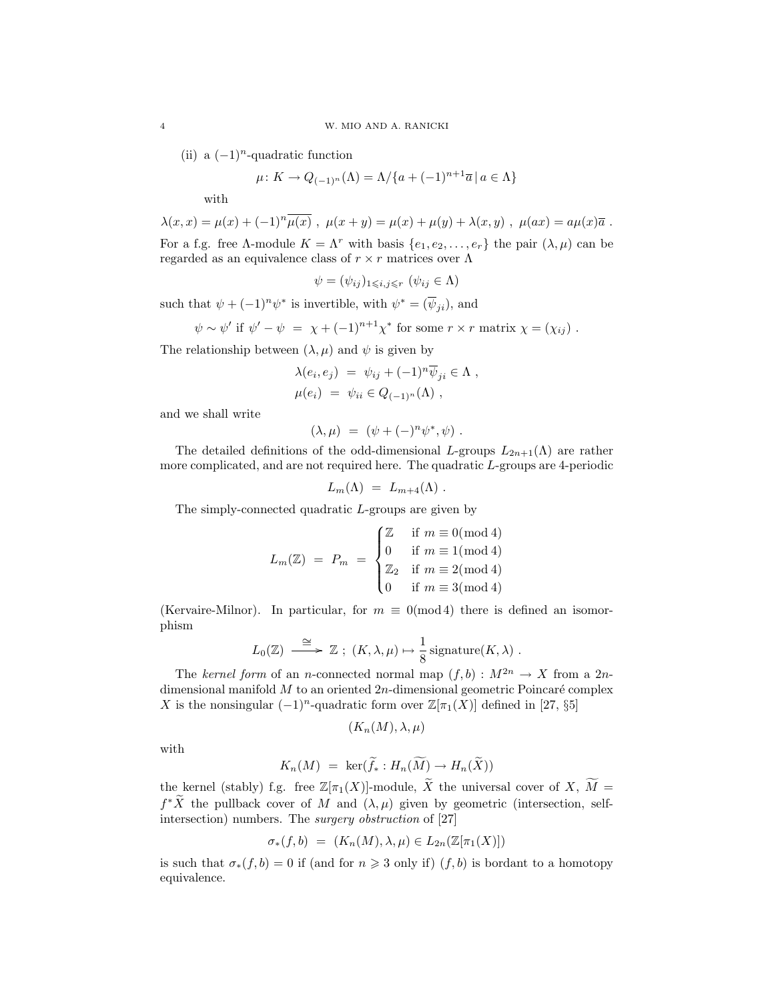(ii) a  $(-1)^n$ -quadratic function

$$
\mu \colon K \to Q_{(-1)^n}(\Lambda) = \Lambda / \{a + (-1)^{n+1}\overline{a} \mid a \in \Lambda\}
$$

with

$$
\lambda(x, x) = \mu(x) + (-1)^n \overline{\mu(x)}
$$
,  $\mu(x + y) = \mu(x) + \mu(y) + \lambda(x, y)$ ,  $\mu(ax) = a\mu(x)\overline{a}$ .  
For a f.g. free  $\Lambda$ -module  $K = \Lambda^r$  with basis  $\{e_1, e_2, \ldots, e_r\}$  the pair  $(\lambda, \mu)$  can be regarded as an equivalence class of  $r \times r$  matrices over  $\Lambda$ 

$$
\psi = (\psi_{ij})_{1 \leqslant i,j \leqslant r} \ (\psi_{ij} \in \Lambda)
$$

such that  $\psi + (-1)^n \psi^*$  is invertible, with  $\psi^* = (\overline{\psi}_{ji})$ , and

$$
\psi \sim \psi'
$$
 if  $\psi' - \psi = \chi + (-1)^{n+1} \chi^*$  for some  $r \times r$  matrix  $\chi = (\chi_{ij})$ .

The relationship between  $(\lambda, \mu)$  and  $\psi$  is given by

$$
\lambda(e_i, e_j) = \psi_{ij} + (-1)^n \overline{\psi}_{ji} \in \Lambda ,
$$
  

$$
\mu(e_i) = \psi_{ii} \in Q_{(-1)^n}(\Lambda) ,
$$

and we shall write

$$
(\lambda, \mu) = (\psi + (-)^n \psi^*, \psi) .
$$

The detailed definitions of the odd-dimensional L-groups  $L_{2n+1}(\Lambda)$  are rather more complicated, and are not required here. The quadratic L-groups are 4-periodic

$$
L_m(\Lambda) = L_{m+4}(\Lambda) .
$$

The simply-connected quadratic L-groups are given by

$$
L_m(\mathbb{Z}) = P_m = \begin{cases} \mathbb{Z} & \text{if } m \equiv 0 \pmod{4} \\ 0 & \text{if } m \equiv 1 \pmod{4} \\ \mathbb{Z}_2 & \text{if } m \equiv 2 \pmod{4} \\ 0 & \text{if } m \equiv 3 \pmod{4} \end{cases}
$$

(Kervaire-Milnor). In particular, for  $m \equiv 0 \pmod{4}$  there is defined an isomorphism

$$
L_0(\mathbb{Z}) \stackrel{\cong}{\longrightarrow} \mathbb{Z}
$$
;  $(K, \lambda, \mu) \mapsto \frac{1}{8}$  signature $(K, \lambda)$ .

The kernel form of an n-connected normal map  $(f, b) : M^{2n} \to X$  from a 2ndimensional manifold  $M$  to an oriented  $2n$ -dimensional geometric Poincaré complex X is the nonsingular  $(-1)^n$ -quadratic form over  $\mathbb{Z}[\pi_1(X)]$  defined in [27, §5]

$$
(K_n(M), \lambda, \mu)
$$

with

$$
K_n(M) = \ker(\widetilde{f}_* : H_n(\widetilde{M}) \to H_n(\widetilde{X}))
$$

the kernel (stably) f.g. free  $\mathbb{Z}[\pi_1(X)]$ -module,  $\widetilde{X}$  the universal cover of  $X, \widetilde{M} =$  $f^*\tilde{X}$  the pullback cover of M and  $(\lambda, \mu)$  given by geometric (intersection, selfintersection) numbers. The surgery obstruction of [27]

$$
\sigma_*(f, b) = (K_n(M), \lambda, \mu) \in L_{2n}(\mathbb{Z}[\pi_1(X)])
$$

is such that  $\sigma_*(f, b) = 0$  if (and for  $n \geq 3$  only if)  $(f, b)$  is bordant to a homotopy equivalence.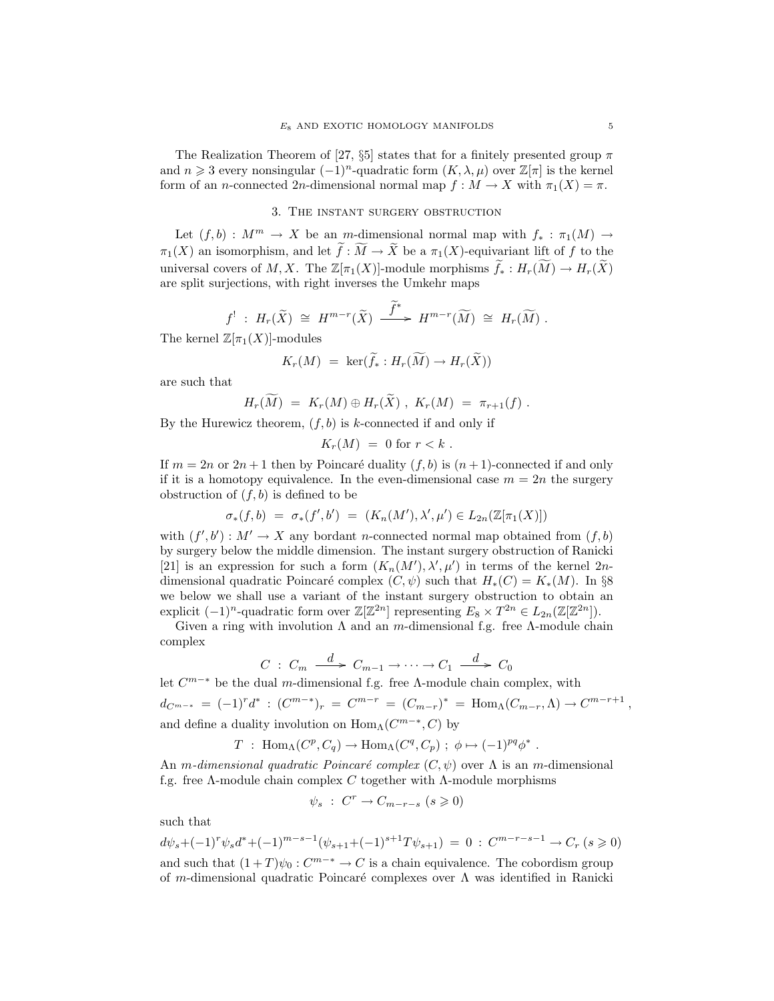The Realization Theorem of [27,  $\S5$ ] states that for a finitely presented group  $\pi$ and  $n \geq 3$  every nonsingular  $(-1)^n$ -quadratic form  $(K, \lambda, \mu)$  over  $\mathbb{Z}[\pi]$  is the kernel form of an n-connected 2n-dimensional normal map  $f : M \to X$  with  $\pi_1(X) = \pi$ .

## 3. The instant surgery obstruction

Let  $(f, b) : M^m \to X$  be an m-dimensional normal map with  $f_* : \pi_1(M) \to$  $\pi_1(X)$  an isomorphism, and let  $\widetilde{f}: \widetilde{M} \to \widetilde{X}$  be a  $\pi_1(X)$ -equivariant lift of f to the universal covers of M, X. The  $\mathbb{Z}[\pi_1(X)]$ -module morphisms  $\widetilde{f}_* : H_r(\widetilde{M}) \to H_r(\widetilde{X})$ are split surjections, with right inverses the Umkehr maps

$$
f^!: H_r(\widetilde{X}) \cong H^{m-r}(\widetilde{X}) \xrightarrow{\widetilde{f}^*} H^{m-r}(\widetilde{M}) \cong H_r(\widetilde{M}).
$$

The kernel  $\mathbb{Z}[\pi_1(X)]$ -modules

$$
K_r(M) = \ker(\widetilde{f}_*: H_r(\widetilde{M}) \to H_r(\widetilde{X}))
$$

are such that

$$
H_r(M) = K_r(M) \oplus H_r(\tilde{X}), \; K_r(M) = \pi_{r+1}(f) \; .
$$

By the Hurewicz theorem,  $(f, b)$  is k-connected if and only if

$$
K_r(M) = 0 \text{ for } r < k \; .
$$

If  $m = 2n$  or  $2n + 1$  then by Poincaré duality  $(f, b)$  is  $(n + 1)$ -connected if and only if it is a homotopy equivalence. In the even-dimensional case  $m = 2n$  the surgery obstruction of  $(f, b)$  is defined to be

$$
\sigma_*(f, b) = \sigma_*(f', b') = (K_n(M'), \lambda', \mu') \in L_{2n}(\mathbb{Z}[\pi_1(X)])
$$

with  $(f', b') : M' \to X$  any bordant n-connected normal map obtained from  $(f, b)$ by surgery below the middle dimension. The instant surgery obstruction of Ranicki [21] is an expression for such a form  $(K_n(M'), \lambda', \mu')$  in terms of the kernel 2ndimensional quadratic Poincaré complex  $(C, \psi)$  such that  $H_*(C) = K_*(M)$ . In §8 we below we shall use a variant of the instant surgery obstruction to obtain an explicit  $(-1)^n$ -quadratic form over  $\mathbb{Z}[\mathbb{Z}^{2n}]$  representing  $E_8 \times T^{2n} \in L_{2n}(\mathbb{Z}[\mathbb{Z}^{2n}]).$ 

Given a ring with involution  $\Lambda$  and an m-dimensional f.g. free  $\Lambda$ -module chain complex

$$
C: C_m \xrightarrow{d} C_{m-1} \to \cdots \to C_1 \xrightarrow{d} C_0
$$

let  $C^{m-*}$  be the dual m-dimensional f.g. free  $\Lambda$ -module chain complex, with  $d_{C^{m-*}} = (-1)^r d^* : (C^{m-*})_r = C^{m-r} = (C_{m-r})^* = \text{Hom}_{\Lambda}(C_{m-r}, \Lambda) \to C^{m-r+1},$ and define a duality involution on  $\text{Hom}_{\Lambda}(C^{m-*}, C)$  by

$$
T
$$
: Hom <sub>$\Lambda$</sub> ( $C^p$ ,  $C_q$ )  $\to$  Hom <sub>$\Lambda$</sub> ( $C^q$ ,  $C_p$ ) ;  $\phi \mapsto (-1)^{pq} \phi^*$ .

An m-dimensional quadratic Poincaré complex  $(C, \psi)$  over  $\Lambda$  is an m-dimensional f.g. free Λ-module chain complex C together with Λ-module morphisms

$$
\psi_s \; : \; C^r \to C_{m-r-s} \; (s \geqslant 0)
$$

such that

$$
d\psi_s + (-1)^r \psi_s d^* + (-1)^{m-s-1} (\psi_{s+1} + (-1)^{s+1} T \psi_{s+1}) = 0 : C^{m-r-s-1} \to C_r \ (s \geqslant 0)
$$
  
and such that  $(1+T)\psi_0 : C^{m-s} \to C$  is a chain equivalence. The cobordism group

of m-dimensional quadratic Poincaré complexes over  $\Lambda$  was identified in Ranicki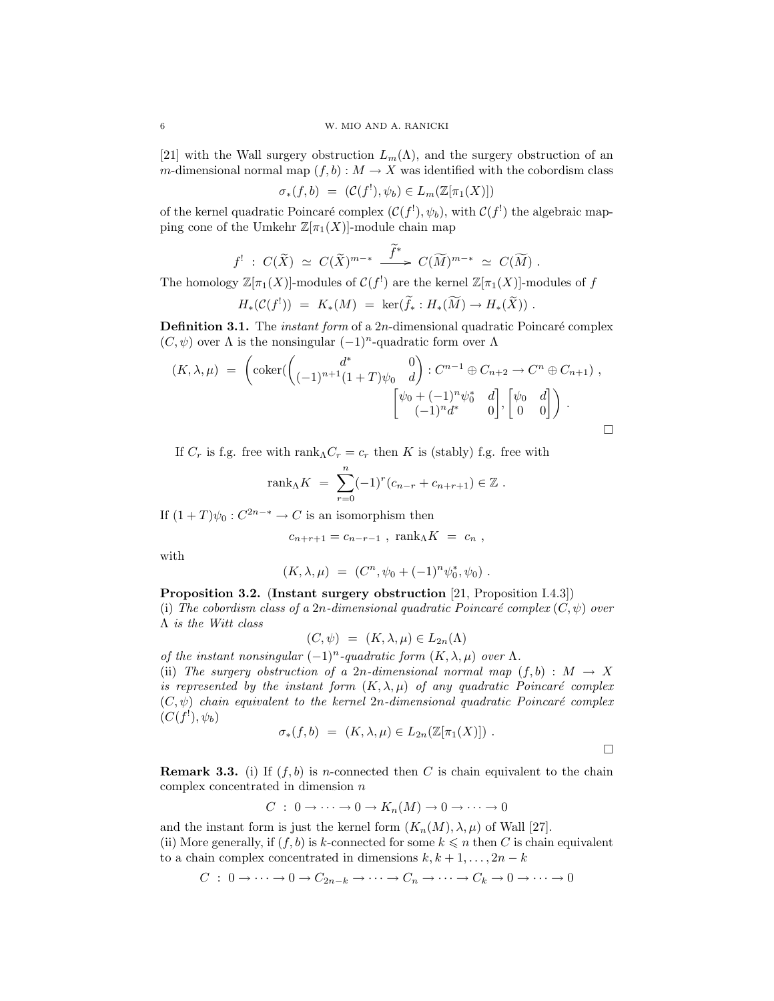[21] with the Wall surgery obstruction  $L_m(\Lambda)$ , and the surgery obstruction of an m-dimensional normal map  $(f, b) : M \to X$  was identified with the cobordism class

$$
\sigma_*(f, b) = (\mathcal{C}(f^!) , \psi_b) \in L_m(\mathbb{Z}[\pi_1(X)])
$$

of the kernel quadratic Poincaré complex  $(C(f<sup>!</sup>), \psi_b)$ , with  $C(f<sup>!</sup>)$  the algebraic mapping cone of the Umkehr  $\mathbb{Z}[\pi_1(X)]$ -module chain map

$$
f': C(\widetilde{X}) \simeq C(\widetilde{X})^{m-*} \xrightarrow{\widetilde{f}^*} C(\widetilde{M})^{m-*} \simeq C(\widetilde{M}) .
$$

The homology  $\mathbb{Z}[\pi_1(X)]$ -modules of  $\mathcal{C}(f^!)$  are the kernel  $\mathbb{Z}[\pi_1(X)]$ -modules of f

$$
H_*({\mathcal{C}}(f^{!})) = K_*(M) = \ker(\widetilde{f}_*: H_*(\widetilde{M}) \to H_*(\widetilde{X})).
$$

**Definition 3.1.** The *instant form* of a  $2n$ -dimensional quadratic Poincaré complex  $(C, \psi)$  over  $\Lambda$  is the nonsingular  $(-1)^n$ -quadratic form over  $\Lambda$ 

$$
(K, \lambda, \mu) = \begin{pmatrix} \operatorname{coker}(\begin{pmatrix} d^* & 0 \\ (-1)^{n+1}(1+T)\psi_0 & d \end{pmatrix} : C^{n-1} \oplus C_{n+2} \to C^n \oplus C_{n+1}), \\ \begin{bmatrix} \psi_0 + (-1)^n \psi_0^* & d \\ (-1)^n d^* & 0 \end{bmatrix}, \begin{bmatrix} \psi_0 & d \\ 0 & 0 \end{bmatrix} \end{pmatrix}.
$$

If  $C_r$  is f.g. free with rank<sub>Λ</sub> $C_r = c_r$  then K is (stably) f.g. free with

$$
rank_{\Lambda} K = \sum_{r=0}^{n} (-1)^{r} (c_{n-r} + c_{n+r+1}) \in \mathbb{Z}.
$$

If  $(1+T)\psi_0: C^{2n-*} \to C$  is an isomorphism then

$$
c_{n+r+1} = c_{n-r-1} , \text{ rank}_{\Lambda} K = c_n ,
$$

with

$$
(K, \lambda, \mu) = (C^n, \psi_0 + (-1)^n \psi_0^*, \psi_0) .
$$

Proposition 3.2. (Instant surgery obstruction [21, Proposition I.4.3]) (i) The cobordism class of a 2n-dimensional quadratic Poincaré complex  $(C, \psi)$  over Λ is the Witt class

$$
(C, \psi) = (K, \lambda, \mu) \in L_{2n}(\Lambda)
$$

of the instant nonsingular  $(-1)^n$ -quadratic form  $(K, \lambda, \mu)$  over  $\Lambda$ . (ii) The surgery obstruction of a 2n-dimensional normal map  $(f, b) : M \to X$ is represented by the instant form  $(K, \lambda, \mu)$  of any quadratic Poincaré complex  $(C, \psi)$  chain equivalent to the kernel 2n-dimensional quadratic Poincaré complex  $(C(f^!) , \psi_b)$ 

$$
\sigma_*(f,b) = (K,\lambda,\mu) \in L_{2n}(\mathbb{Z}[\pi_1(X)]) .
$$

**Remark 3.3.** (i) If  $(f, b)$  is *n*-connected then C is chain equivalent to the chain complex concentrated in dimension  $n$ 

$$
C : 0 \to \cdots \to 0 \to K_n(M) \to 0 \to \cdots \to 0
$$

and the instant form is just the kernel form  $(K_n(M), \lambda, \mu)$  of Wall [27]. (ii) More generally, if  $(f, b)$  is k-connected for some  $k \leq n$  then C is chain equivalent

to a chain complex concentrated in dimensions  $k, k + 1, \ldots, 2n - k$  $C: 0 \to \cdots \to 0 \to C_{2n-k} \to \cdots \to C_n \to \cdots \to C_k \to 0 \to \cdots \to 0$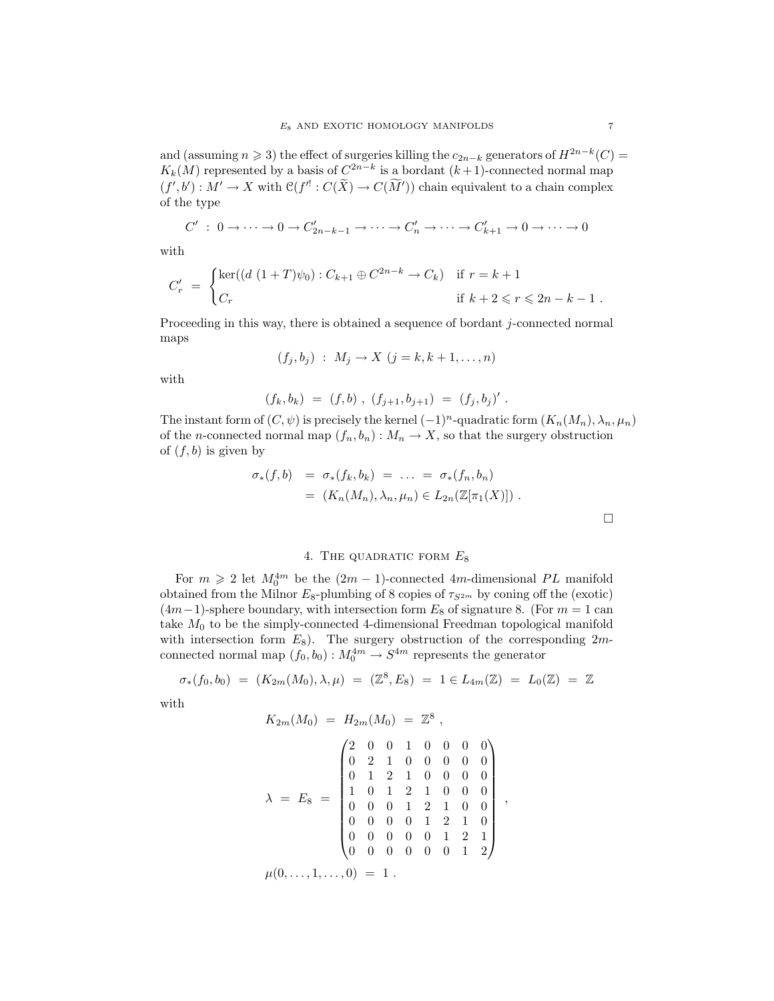and (assuming  $n \ge 3$ ) the effect of surgeries killing the  $c_{2n-k}$  generators of  $H^{2n-k}(C)$  $K_k(M)$  represented by a basis of  $C^{2n-k}$  is a bordant  $(k+1)$ -connected normal map  $(f', b') : M' \to X$  with  $\mathcal{C}(f'': C(\tilde{X}) \to C(\tilde{M}'))$  chain equivalent to a chain complex of the type

$$
C' : 0 \to \cdots \to 0 \to C'_{2n-k-1} \to \cdots \to C'_n \to \cdots \to C'_{k+1} \to 0 \to \cdots \to 0
$$

with

$$
C'_{r} = \begin{cases} \ker((d (1+T)\psi_{0}) : C_{k+1} \oplus C^{2n-k} \to C_{k}) & \text{if } r = k+1 \\ C_{r} & \text{if } k+2 \leq r \leq 2n-k-1 \end{cases}
$$

Proceeding in this way, there is obtained a sequence of bordant j-connected normal maps

$$
(f_j, b_j) : M_j \to X \ (j = k, k+1, \dots, n)
$$

with

$$
(f_k, b_k) = (f, b) , (f_{j+1}, b_{j+1}) = (f_j, b_j)'
$$

The instant form of  $(C, \psi)$  is precisely the kernel  $(-1)^n$ -quadratic form  $(K_n(M_n), \lambda_n, \mu_n)$ of the *n*-connected normal map  $(f_n, b_n)$ :  $M_n \to X$ , so that the surgery obstruction of  $(f, b)$  is given by

$$
\sigma_*(f, b) = \sigma_*(f_k, b_k) = \dots = \sigma_*(f_n, b_n)
$$
  
=  $(K_n(M_n), \lambda_n, \mu_n) \in L_{2n}(\mathbb{Z}[\pi_1(X)])$ .

# 4. THE QUADRATIC FORM  $E_8$

For  $m \geq 2$  let  $M_0^{4m}$  be the  $(2m - 1)$ -connected 4m-dimensional PL manifold obtained from the Milnor  $E_8$ -plumbing of 8 copies of  $\tau_{S^{2m}}$  by coning off the (exotic)  $(4m-1)$ -sphere boundary, with intersection form  $E_8$  of signature 8. (For  $m = 1$  can take  $M_0$  to be the simply-connected 4-dimensional Freedman topological manifold with intersection form  $E_8$ ). The surgery obstruction of the corresponding  $2m$ connected normal map  $(f_0, b_0) : M_0^{4m} \to S^{4m}$  represents the generator

$$
\sigma_*(f_0, b_0) = (K_{2m}(M_0), \lambda, \mu) = (\mathbb{Z}^8, E_8) = 1 \in L_{4m}(\mathbb{Z}) = L_0(\mathbb{Z}) = \mathbb{Z}
$$

with

$$
K_{2m}(M_0) = H_{2m}(M_0) = \mathbb{Z}^8 ,
$$
  

$$
\lambda = E_8 = \begin{pmatrix} 2 & 0 & 0 & 1 & 0 & 0 & 0 & 0 \\ 0 & 2 & 1 & 0 & 0 & 0 & 0 & 0 \\ 0 & 1 & 2 & 1 & 0 & 0 & 0 & 0 \\ 1 & 0 & 1 & 2 & 1 & 0 & 0 & 0 \\ 0 & 0 & 0 & 1 & 2 & 1 & 0 & 0 \\ 0 & 0 & 0 & 0 & 1 & 2 & 1 & 0 \\ 0 & 0 & 0 & 0 & 0 & 1 & 2 & 1 \\ 0 & 0 & 0 & 0 & 0 & 0 & 1 & 2 \end{pmatrix}
$$

,

 $\mu(0, \ldots, 1, \ldots, 0) = 1$ .

 $\Box$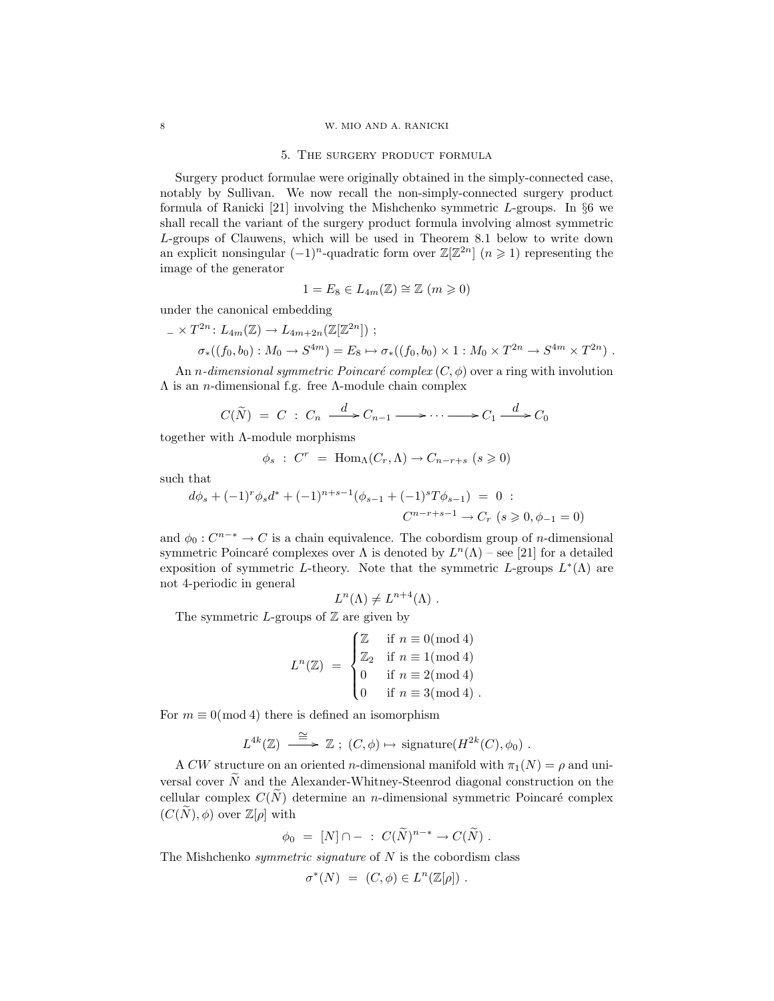#### 8 W. MIO AND A. RANICKI

#### 5. The surgery product formula

Surgery product formulae were originally obtained in the simply-connected case, notably by Sullivan. We now recall the non-simply-connected surgery product formula of Ranicki [21] involving the Mishchenko symmetric  $L$ -groups. In §6 we shall recall the variant of the surgery product formula involving almost symmetric L-groups of Clauwens, which will be used in Theorem 8.1 below to write down an explicit nonsingular  $(-1)^n$ -quadratic form over  $\mathbb{Z}[\mathbb{Z}^{2n}]$   $(n \geq 1)$  representing the image of the generator

$$
1 = E_8 \in L_{4m}(\mathbb{Z}) \cong \mathbb{Z} \ (m \geqslant 0)
$$

under the canonical embedding

 $- \times T^{2n}$ :  $L_{4m}(\mathbb{Z}) \rightarrow L_{4m+2n}(\mathbb{Z}[\mathbb{Z}^{2n}])$ ;

$$
\sigma_*((f_0, b_0): M_0 \to S^{4m}) = E_8 \mapsto \sigma_*((f_0, b_0) \times 1 : M_0 \times T^{2n} \to S^{4m} \times T^{2n}) .
$$

An *n*-dimensional symmetric Poincaré complex  $(C, \phi)$  over a ring with involution  $Λ$  is an *n*-dimensional f.g. free  $Λ$ -module chain complex

$$
C(\widetilde{N}) = C : C_n \xrightarrow{d} C_{n-1} \longrightarrow \cdots \longrightarrow C_1 \xrightarrow{d} C_0
$$

together with Λ-module morphisms

$$
\phi_s : C^r = \text{Hom}_{\Lambda}(C_r, \Lambda) \to C_{n-r+s} \ (s \geqslant 0)
$$

such that

$$
d\phi_s + (-1)^r \phi_s d^* + (-1)^{n+s-1} (\phi_{s-1} + (-1)^s T \phi_{s-1}) = 0 :
$$
  

$$
C^{n-r+s-1} \to C_r \ (s \geq 0, \phi_{-1} = 0)
$$

and  $\phi_0: C^{n-*} \to C$  is a chain equivalence. The cobordism group of *n*-dimensional symmetric Poincaré complexes over  $\Lambda$  is denoted by  $L^{n}(\Lambda)$  – see [21] for a detailed exposition of symmetric L-theory. Note that the symmetric L-groups  $L^*(\Lambda)$  are not 4-periodic in general

$$
L^{n}(\Lambda) \neq L^{n+4}(\Lambda) .
$$

The symmetric L-groups of  $\mathbb Z$  are given by

$$
L^{n}(\mathbb{Z}) = \begin{cases} \mathbb{Z} & \text{if } n \equiv 0 \pmod{4} \\ \mathbb{Z}_{2} & \text{if } n \equiv 1 \pmod{4} \\ 0 & \text{if } n \equiv 2 \pmod{4} \\ 0 & \text{if } n \equiv 3 \pmod{4} \end{cases}.
$$

For  $m \equiv 0 \pmod{4}$  there is defined an isomorphism

$$
L^{4k}(\mathbb{Z}) \xrightarrow{\cong} \mathbb{Z}
$$
;  $(C, \phi) \mapsto$  signature $(H^{2k}(C), \phi_0)$ .

A CW structure on an oriented n-dimensional manifold with  $\pi_1(N) = \rho$  and universal cover  $\tilde{N}$  and the Alexander-Whitney-Steenrod diagonal construction on the cellular complex  $C(\tilde{N})$  determine an *n*-dimensional symmetric Poincaré complex  $(C(N), \phi)$  over  $\mathbb{Z}[\rho]$  with

$$
\phi_0 = [N] \cap - : C(\widetilde{N})^{n-*} \to C(\widetilde{N}) .
$$

The Mishchenko *symmetric signature* of  $N$  is the cobordism class

$$
\sigma^*(N) = (C, \phi) \in L^n(\mathbb{Z}[\rho]).
$$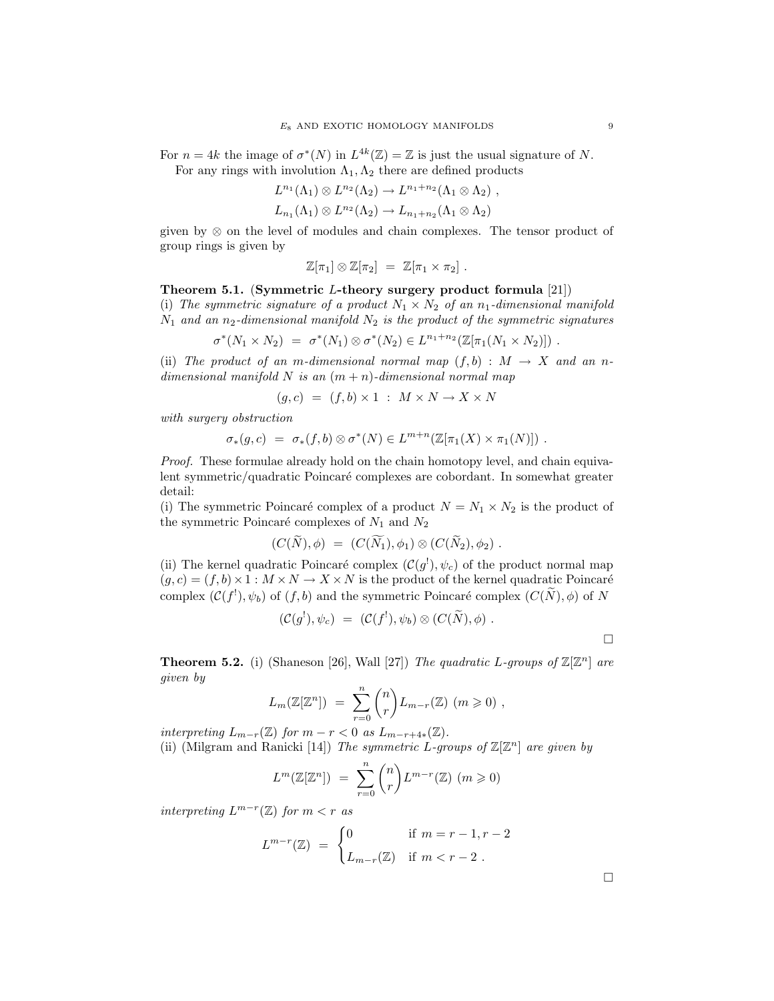For  $n = 4k$  the image of  $\sigma^*(N)$  in  $L^{4k}(\mathbb{Z}) = \mathbb{Z}$  is just the usual signature of N. For any rings with involution  $\Lambda_1, \Lambda_2$  there are defined products

$$
L^{n_1}(\Lambda_1) \otimes L^{n_2}(\Lambda_2) \to L^{n_1+n_2}(\Lambda_1 \otimes \Lambda_2) ,
$$
  

$$
L_{n_1}(\Lambda_1) \otimes L^{n_2}(\Lambda_2) \to L_{n_1+n_2}(\Lambda_1 \otimes \Lambda_2)
$$

given by ⊗ on the level of modules and chain complexes. The tensor product of group rings is given by

$$
\mathbb{Z}[\pi_1] \otimes \mathbb{Z}[\pi_2] = \mathbb{Z}[\pi_1 \times \pi_2].
$$

## Theorem 5.1. (Symmetric L-theory surgery product formula [21])

(i) The symmetric signature of a product  $N_1 \times N_2$  of an n<sub>1</sub>-dimensional manifold  $N_1$  and an n<sub>2</sub>-dimensional manifold  $N_2$  is the product of the symmetric signatures

$$
\sigma^*(N_1 \times N_2) = \sigma^*(N_1) \otimes \sigma^*(N_2) \in L^{n_1+n_2}(\mathbb{Z}[\pi_1(N_1 \times N_2)]) .
$$

(ii) The product of an m-dimensional normal map  $(f, b) : M \rightarrow X$  and an ndimensional manifold N is an  $(m + n)$ -dimensional normal map

$$
(g, c) = (f, b) \times 1 : M \times N \to X \times N
$$

with surgery obstruction

$$
\sigma_*(g,c) = \sigma_*(f,b) \otimes \sigma^*(N) \in L^{m+n}(\mathbb{Z}[\pi_1(X) \times \pi_1(N)]) .
$$

Proof. These formulae already hold on the chain homotopy level, and chain equivalent symmetric/quadratic Poincaré complexes are cobordant. In somewhat greater detail:

(i) The symmetric Poincaré complex of a product  $N = N_1 \times N_2$  is the product of the symmetric Poincaré complexes of  $N_1$  and  $N_2$ 

$$
(C(\widetilde{N}), \phi) = (C(\widetilde{N}_1), \phi_1) \otimes (C(\widetilde{N}_2), \phi_2).
$$

(ii) The kernel quadratic Poincaré complex  $(C(g^{1}), \psi_c)$  of the product normal map  $(g, c) = (f, b) \times 1 : M \times N \rightarrow X \times N$  is the product of the kernel quadratic Poincaré complex  $(C(f^!)$ ,  $\psi_b)$  of  $(f, b)$  and the symmetric Poincaré complex  $(C(N), \phi)$  of N

$$
(\mathcal{C}(g^1),\psi_c) \;=\; (\mathcal{C}(f^1),\psi_b) \otimes (C(\widetilde{N}),\phi) \;.
$$

 $\Box$ 

**Theorem 5.2.** (i) (Shaneson [26], Wall [27]) The quadratic L-groups of  $\mathbb{Z}[\mathbb{Z}^n]$  are given by

$$
L_m(\mathbb{Z}[\mathbb{Z}^n]) = \sum_{r=0}^n {n \choose r} L_{m-r}(\mathbb{Z}) \ (m \geqslant 0) ,
$$

interpreting  $L_{m-r}(\mathbb{Z})$  for  $m-r<0$  as  $L_{m-r+4*}(\mathbb{Z})$ . (ii) (Milgram and Ranicki [14]) The symmetric L-groups of  $\mathbb{Z}[\mathbb{Z}^n]$  are given by

$$
L^m(\mathbb{Z}[\mathbb{Z}^n]) = \sum_{r=0}^n {n \choose r} L^{m-r}(\mathbb{Z}) \ (m \geqslant 0)
$$

interpreting  $L^{m-r}(\mathbb{Z})$  for  $m < r$  as

$$
L^{m-r}(\mathbb{Z}) = \begin{cases} 0 & \text{if } m = r - 1, r - 2 \\ L_{m-r}(\mathbb{Z}) & \text{if } m < r - 2 \end{cases}
$$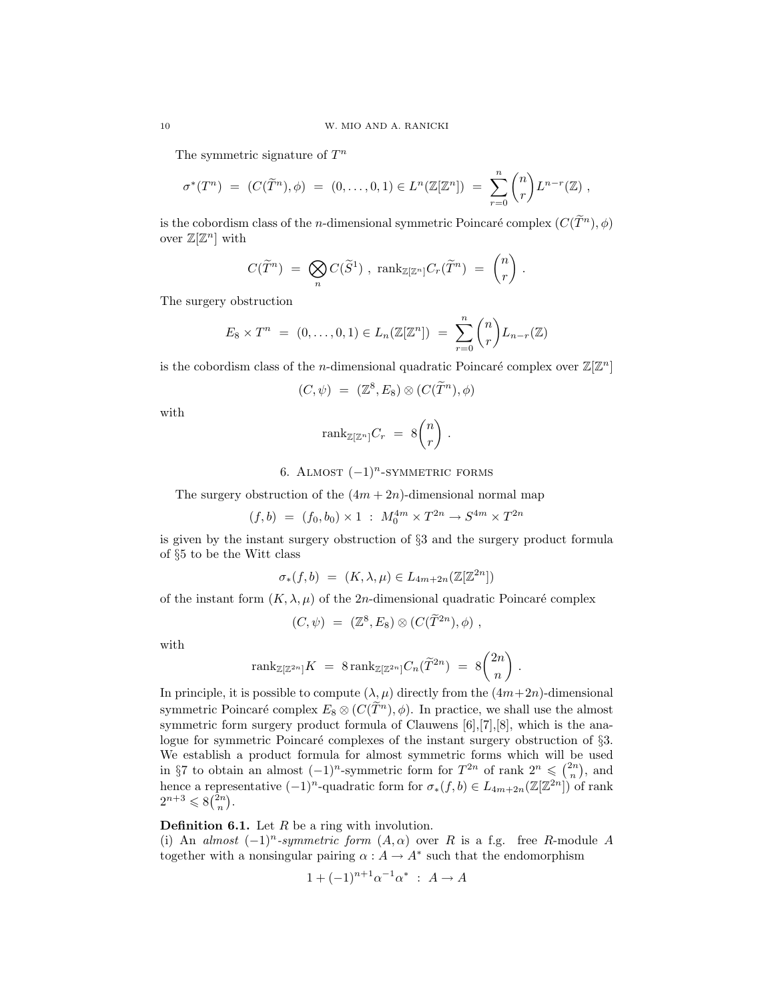The symmetric signature of  $T^n$ 

$$
\sigma^*(T^n) = (C(\widetilde{T}^n), \phi) = (0, \ldots, 0, 1) \in L^n(\mathbb{Z}[\mathbb{Z}^n]) = \sum_{r=0}^n {n \choose r} L^{n-r}(\mathbb{Z}),
$$

is the cobordism class of the *n*-dimensional symmetric Poincaré complex  $(C(\widetilde{T}^n), \phi)$ over  $\mathbb{Z}[\mathbb{Z}^n]$  with

$$
C(\widetilde{T}^n) \;=\; \bigotimes_n C(\widetilde{S}^1) \;,\; \mathrm{rank}_{\mathbb{Z}[\mathbb{Z}^n]} C_r(\widetilde{T}^n) \;=\; \begin{pmatrix} n \\ r \end{pmatrix} \,.
$$

The surgery obstruction

$$
E_8 \times T^n = (0, ..., 0, 1) \in L_n(\mathbb{Z}[\mathbb{Z}^n]) = \sum_{r=0}^n {n \choose r} L_{n-r}(\mathbb{Z})
$$

is the cobordism class of the *n*-dimensional quadratic Poincaré complex over  $\mathbb{Z}[\mathbb{Z}^n]$ 

$$
(C,\psi) = (\mathbb{Z}^8, E_8) \otimes (C(\widetilde{T}^n), \phi)
$$

with

$$
\text{rank}_{\mathbb{Z}[\mathbb{Z}^n]} C_r = 8 \binom{n}{r} .
$$

6. ALMOST 
$$
(-1)^n
$$
-SYMMETRIC FORMS

The surgery obstruction of the  $(4m + 2n)$ -dimensional normal map

$$
(f,b) \ = \ (f_0,b_0) \times 1 \ : \ M_0^{4m} \times T^{2n} \to S^{4m} \times T^{2n}
$$

is given by the instant surgery obstruction of §3 and the surgery product formula of §5 to be the Witt class

$$
\sigma_*(f, b) = (K, \lambda, \mu) \in L_{4m+2n}(\mathbb{Z}[\mathbb{Z}^{2n}])
$$

of the instant form  $(K, \lambda, \mu)$  of the 2*n*-dimensional quadratic Poincaré complex

$$
(C,\psi) = (\mathbb{Z}^8, E_8) \otimes (C(\widetilde{T}^{2n}), \phi) ,
$$

with

$$
\text{rank}_{\mathbb{Z}[\mathbb{Z}^{2n}]} K = 8 \, \text{rank}_{\mathbb{Z}[\mathbb{Z}^{2n}]} C_n(\widetilde{T}^{2n}) = 8 \binom{2n}{n} .
$$

In principle, it is possible to compute  $(\lambda, \mu)$  directly from the  $(4m+2n)$ -dimensional symmetric Poincaré complex  $E_8 \otimes (C(\tilde{T}^n), \phi)$ . In practice, we shall use the almost symmetric form surgery product formula of Clauwens [6],[7],[8], which is the analogue for symmetric Poincaré complexes of the instant surgery obstruction of  $\S3$ . We establish a product formula for almost symmetric forms which will be used in §7 to obtain an almost  $(-1)^n$ -symmetric form for  $T^{2n}$  of rank  $2^n \leqslant \binom{2n}{n}$ , and hence a representative  $(-1)^n$ -quadratic form for  $\sigma_*(f, b) \in L_{4m+2n}(\mathbb{Z}[\mathbb{Z}^{2n}])$  of rank  $2^{n+3} \leqslant 8\binom{2n}{n}.$ 

**Definition 6.1.** Let  $R$  be a ring with involution.

(i) An almost  $(-1)^n$ -symmetric form  $(A, \alpha)$  over R is a f.g. free R-module A together with a nonsingular pairing  $\alpha : A \to A^*$  such that the endomorphism

$$
1 + (-1)^{n+1} \alpha^{-1} \alpha^* : A \to A
$$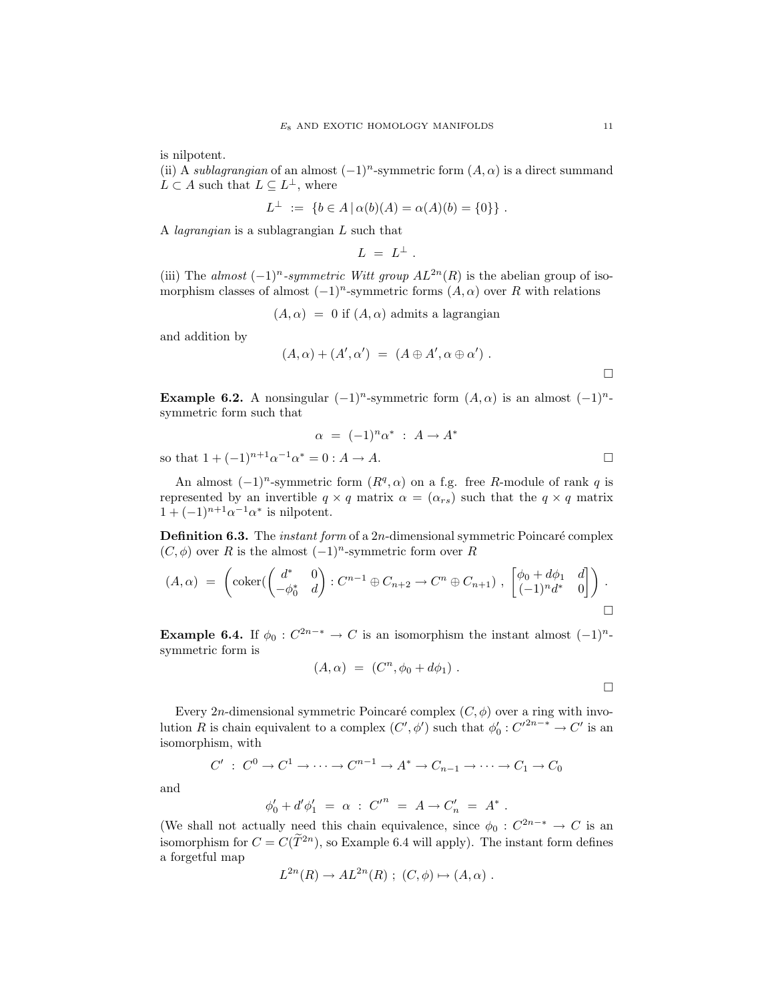is nilpotent.

(ii) A *sublagrangian* of an almost  $(-1)^n$ -symmetric form  $(A, \alpha)$  is a direct summand  $L \subset A$  such that  $L \subseteq L^{\perp}$ , where

$$
L^{\perp} := \{ b \in A \, | \, \alpha(b)(A) = \alpha(A)(b) = \{0\} \} .
$$

A lagrangian is a sublagrangian L such that

$$
L \; = \; L^{\perp} \; .
$$

(iii) The almost  $(-1)^n$ -symmetric Witt group  $AL^{2n}(R)$  is the abelian group of isomorphism classes of almost  $(-1)^n$ -symmetric forms  $(A, \alpha)$  over R with relations

 $(A, \alpha) = 0$  if  $(A, \alpha)$  admits a lagrangian

and addition by

$$
(A, \alpha) + (A', \alpha') = (A \oplus A', \alpha \oplus \alpha').
$$

Example 6.2. A nonsingular  $(-1)^n$ -symmetric form  $(A, \alpha)$  is an almost  $(-1)^n$ symmetric form such that

$$
\alpha = (-1)^n \alpha^* : A \to A^*
$$
  
so that  $1 + (-1)^{n+1} \alpha^{-1} \alpha^* = 0 : A \to A$ .

An almost  $(-1)^n$ -symmetric form  $(R^q, \alpha)$  on a f.g. free R-module of rank q is represented by an invertible  $q \times q$  matrix  $\alpha = (\alpha_{rs})$  such that the  $q \times q$  matrix  $1+(-1)^{n+1}\alpha^{-1}\alpha^*$  is nilpotent.

**Definition 6.3.** The *instant form* of a  $2n$ -dimensional symmetric Poincaré complex  $(C, \phi)$  over R is the almost  $(-1)^n$ -symmetric form over R

$$
(A,\alpha) = \left(\text{coker}(\begin{pmatrix} d^* & 0 \\ -\phi_0^* & d \end{pmatrix} : C^{n-1} \oplus C_{n+2} \to C^n \oplus C_{n+1}), \begin{bmatrix} \phi_0 + d\phi_1 & d \\ (-1)^n d^* & 0 \end{bmatrix}\right).
$$

**Example 6.4.** If  $\phi_0$  :  $C^{2n-*} \to C$  is an isomorphism the instant almost  $(-1)^n$ symmetric form is

$$
(A, \alpha) = (C^n, \phi_0 + d\phi_1) .
$$

Every 2n-dimensional symmetric Poincaré complex  $(C, \phi)$  over a ring with involution R is chain equivalent to a complex  $(C', \phi')$  such that  $\phi'_0 : C'^{2n-*} \to C'$  is an isomorphism, with

$$
C' : C^0 \to C^1 \to \cdots \to C^{n-1} \to A^* \to C_{n-1} \to \cdots \to C_1 \to C_0
$$

and

$$
\phi'_0 + d' \phi'_1 = \alpha \; : \; C'^n = A \to C'_n = A^* \; .
$$

(We shall not actually need this chain equivalence, since  $\phi_0: C^{2n-*} \to C$  is an isomorphism for  $C = C(\tilde{T}^{2n})$ , so Example 6.4 will apply). The instant form defines a forgetful map

$$
L^{2n}(R) \to AL^{2n}(R) ; (C, \phi) \mapsto (A, \alpha) .
$$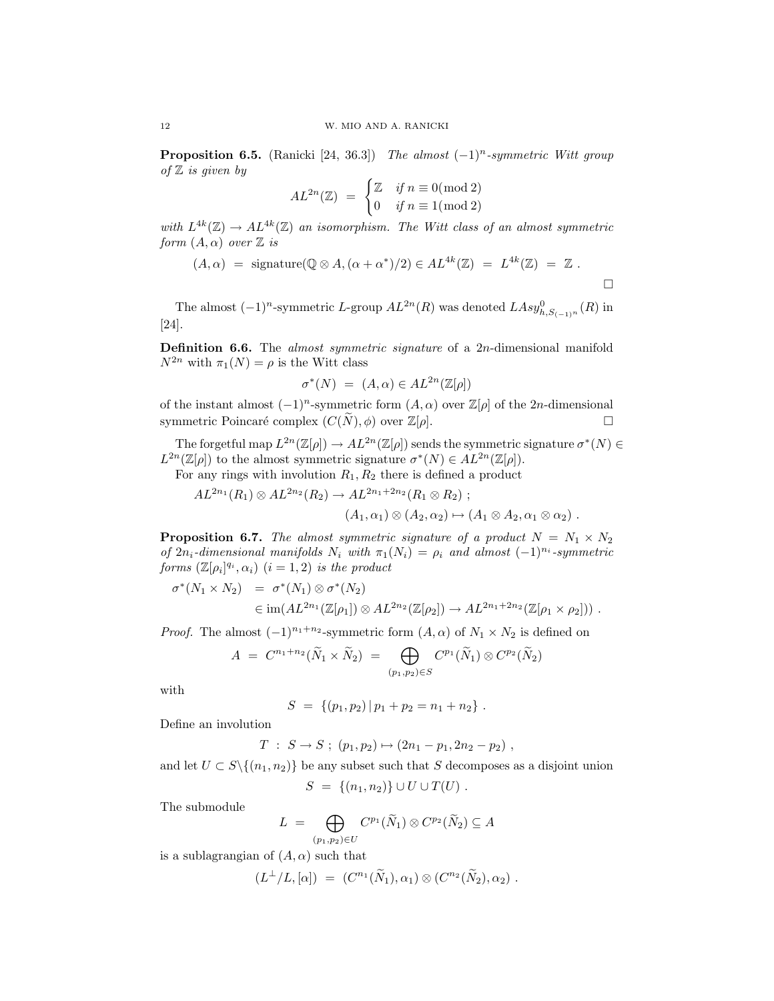**Proposition 6.5.** (Ranicki [24, 36.3]) The almost  $(-1)^n$ -symmetric Witt group of  $\mathbb Z$  is given by

$$
AL^{2n}(\mathbb{Z}) = \begin{cases} \mathbb{Z} & \text{if } n \equiv 0 \text{(mod 2)} \\ 0 & \text{if } n \equiv 1 \text{(mod 2)} \end{cases}
$$

with  $L^{4k}(\mathbb{Z}) \to AL^{4k}(\mathbb{Z})$  an isomorphism. The Witt class of an almost symmetric form  $(A, \alpha)$  over  $\mathbb Z$  is

$$
(A, \alpha) = \text{ signature}(\mathbb{Q} \otimes A, (\alpha + \alpha^*)/2) \in AL^{4k}(\mathbb{Z}) = L^{4k}(\mathbb{Z}) = \mathbb{Z}.
$$

The almost  $(-1)^n$ -symmetric L-group  $AL^{2n}(R)$  was denoted  $LASy_{h,S_{(-1)}(n)}^0(R)$  in [24].

**Definition 6.6.** The *almost symmetric signature* of a  $2n$ -dimensional manifold  $N^{2n}$  with  $\pi_1(N) = \rho$  is the Witt class

$$
\sigma^*(N) = (A, \alpha) \in AL^{2n}(\mathbb{Z}[\rho])
$$

of the instant almost  $(-1)^n$ -symmetric form  $(A, \alpha)$  over  $\mathbb{Z}[\rho]$  of the 2n-dimensional symmetric Poincaré complex  $(C(\tilde{N}), \phi)$  over  $\mathbb{Z}[\rho].$ 

The forgetful map  $L^{2n}(\mathbb{Z}[\rho]) \to AL^{2n}(\mathbb{Z}[\rho])$  sends the symmetric signature  $\sigma^*(N) \in$  $L^{2n}(\mathbb{Z}[\rho])$  to the almost symmetric signature  $\sigma^*(N) \in AL^{2n}(\mathbb{Z}[\rho]).$ 

For any rings with involution  $R_1, R_2$  there is defined a product

$$
AL^{2n_1}(R_1) \otimes AL^{2n_2}(R_2) \to AL^{2n_1+2n_2}(R_1 \otimes R_2) ;
$$
  
\n $(A_1, \alpha_1) \otimes (A_2, \alpha_2) \mapsto (A_1 \otimes A_2, \alpha_1 \otimes \alpha_2) .$ 

**Proposition 6.7.** The almost symmetric signature of a product  $N = N_1 \times N_2$ of  $2n_i$ -dimensional manifolds  $N_i$  with  $\pi_1(N_i) = \rho_i$  and almost  $(-1)^{n_i}$ -symmetric forms  $(\mathbb{Z}[\rho_i]^{q_i}, \alpha_i)$   $(i = 1, 2)$  is the product

$$
\sigma^*(N_1 \times N_2) = \sigma^*(N_1) \otimes \sigma^*(N_2)
$$
  
\n
$$
\in \text{im}(AL^{2n_1}(\mathbb{Z}[\rho_1]) \otimes AL^{2n_2}(\mathbb{Z}[\rho_2]) \to AL^{2n_1+2n_2}(\mathbb{Z}[\rho_1 \times \rho_2])) .
$$

*Proof.* The almost  $(-1)^{n_1+n_2}$ -symmetric form  $(A, \alpha)$  of  $N_1 \times N_2$  is defined on

$$
A = C^{n_1+n_2}(\widetilde{N}_1 \times \widetilde{N}_2) = \bigoplus_{(p_1,p_2) \in S} C^{p_1}(\widetilde{N}_1) \otimes C^{p_2}(\widetilde{N}_2)
$$

with

$$
S = \{ (p_1, p_2) | p_1 + p_2 = n_1 + n_2 \}.
$$

Define an involution

$$
T : S \to S ; (p_1, p_2) \mapsto (2n_1 - p_1, 2n_2 - p_2) ,
$$

and let  $U \subset S \setminus \{(n_1, n_2)\}\$  be any subset such that S decomposes as a disjoint union

$$
S = \{(n_1, n_2)\} \cup U \cup T(U) .
$$

The submodule

$$
L = \bigoplus_{(p_1, p_2) \in U} C^{p_1}(\widetilde{N}_1) \otimes C^{p_2}(\widetilde{N}_2) \subseteq A
$$

is a sublagrangian of  $(A, \alpha)$  such that

$$
(L^{\perp}/L,[\alpha]) = (C^{n_1}(\widetilde{N}_1), \alpha_1) \otimes (C^{n_2}(\widetilde{N}_2), \alpha_2) .
$$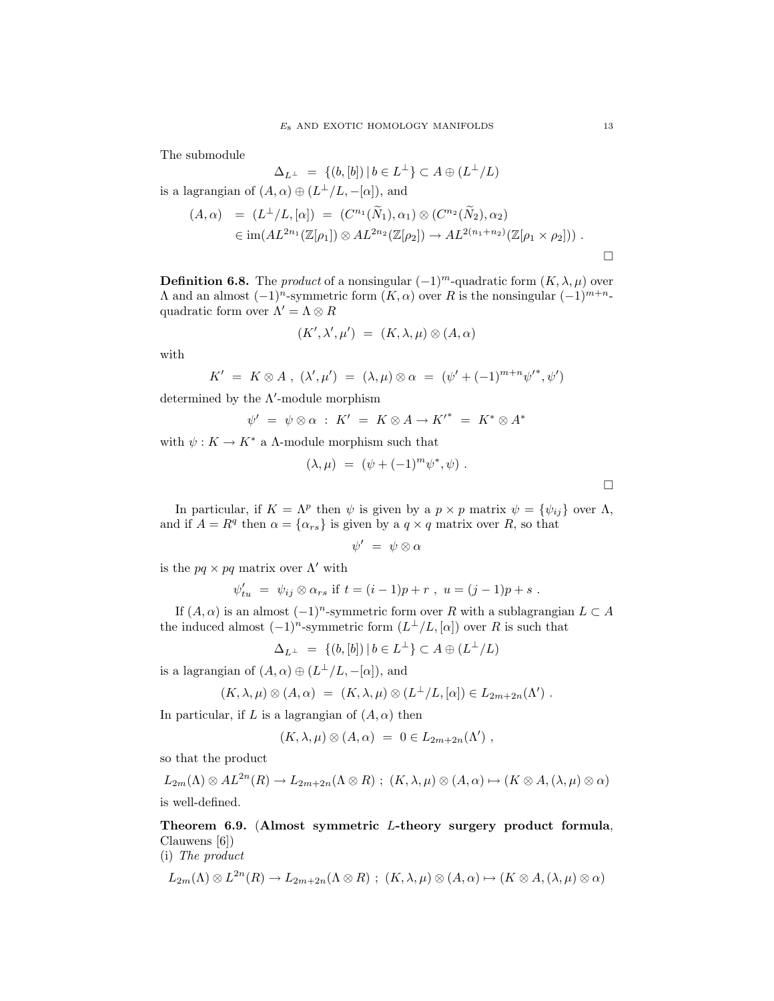The submodule

$$
\Delta_{L^{\perp}} = \{ (b, [b]) \mid b \in L^{\perp} \} \subset A \oplus (L^{\perp}/L)
$$

is a lagrangian of  $(A, \alpha) \oplus (L^{\perp}/L, -[\alpha]),$  and

$$
(A, \alpha) = (L^{\perp}/L, [\alpha]) = (C^{n_1}(\tilde{N}_1), \alpha_1) \otimes (C^{n_2}(\tilde{N}_2), \alpha_2)
$$
  

$$
\in \text{im}(AL^{2n_1}(\mathbb{Z}[\rho_1]) \otimes AL^{2n_2}(\mathbb{Z}[\rho_2]) \to AL^{2(n_1+n_2)}(\mathbb{Z}[\rho_1 \times \rho_2])) .
$$

**Definition 6.8.** The *product* of a nonsingular  $(-1)^m$ -quadratic form  $(K, \lambda, \mu)$  over Λ and an almost  $(-1)^n$ -symmetric form  $(K, α)$  over R is the nonsingular  $(-1)^{m+n-1}$ quadratic form over  $\Lambda' = \Lambda \otimes R$ 

$$
(K',\lambda',\mu') \ = \ (K,\lambda,\mu) \otimes (A,\alpha)
$$

with

$$
K' = K \otimes A , (\lambda', \mu') = (\lambda, \mu) \otimes \alpha = (\psi' + (-1)^{m+n} \psi'^*, \psi')
$$

determined by the  $\Lambda'$ -module morphism

$$
\psi' \;=\; \psi \otimes \alpha \;:\; K' \;=\; K \otimes A \to {K'}^* \;=\; K^* \otimes A^*
$$

with  $\psi: K \to K^*$  a A-module morphism such that

$$
(\lambda, \mu) = (\psi + (-1)^m \psi^*, \psi) .
$$

In particular, if  $K = \Lambda^p$  then  $\psi$  is given by a  $p \times p$  matrix  $\psi = {\psi_{ij}}$  over  $\Lambda$ , and if  $A = R^q$  then  $\alpha = {\alpha_{rs}}$  is given by a  $q \times q$  matrix over R, so that

 $\psi' = \psi \otimes \alpha$ 

is the  $pq \times pq$  matrix over  $\Lambda'$  with

$$
\psi'_{tu} = \psi_{ij} \otimes \alpha_{rs}
$$
 if  $t = (i-1)p + r$ ,  $u = (j-1)p + s$ .

If  $(A, \alpha)$  is an almost  $(-1)^n$ -symmetric form over R with a sublagrangian  $L \subset A$ the induced almost  $(-1)^n$ -symmetric form  $(L^{\perp}/L, [\alpha])$  over R is such that

$$
\Delta_{L^\perp} = \{ (b,[b]) \, | \, b \in L^\perp \} \subset A \oplus (L^\perp/L)
$$

is a lagrangian of  $(A, \alpha) \oplus (L^{\perp}/L, -[\alpha])$ , and

$$
(K, \lambda, \mu) \otimes (A, \alpha) = (K, \lambda, \mu) \otimes (L^{\perp}/L, [\alpha]) \in L_{2m+2n}(\Lambda').
$$

In particular, if L is a lagrangian of  $(A, \alpha)$  then

$$
(K, \lambda, \mu) \otimes (A, \alpha) = 0 \in L_{2m+2n}(\Lambda'),
$$

so that the product

 $L_{2m}(\Lambda) \otimes AL^{2n}(R) \to L_{2m+2n}(\Lambda \otimes R) ; (K, \lambda, \mu) \otimes (A, \alpha) \mapsto (K \otimes A, (\lambda, \mu) \otimes \alpha)$ is well-defined.

Theorem 6.9. (Almost symmetric L-theory surgery product formula, Clauwens [6])

(i) The product

$$
L_{2m}(\Lambda) \otimes L^{2n}(R) \to L_{2m+2n}(\Lambda \otimes R) ; (K, \lambda, \mu) \otimes (A, \alpha) \mapsto (K \otimes A, (\lambda, \mu) \otimes \alpha)
$$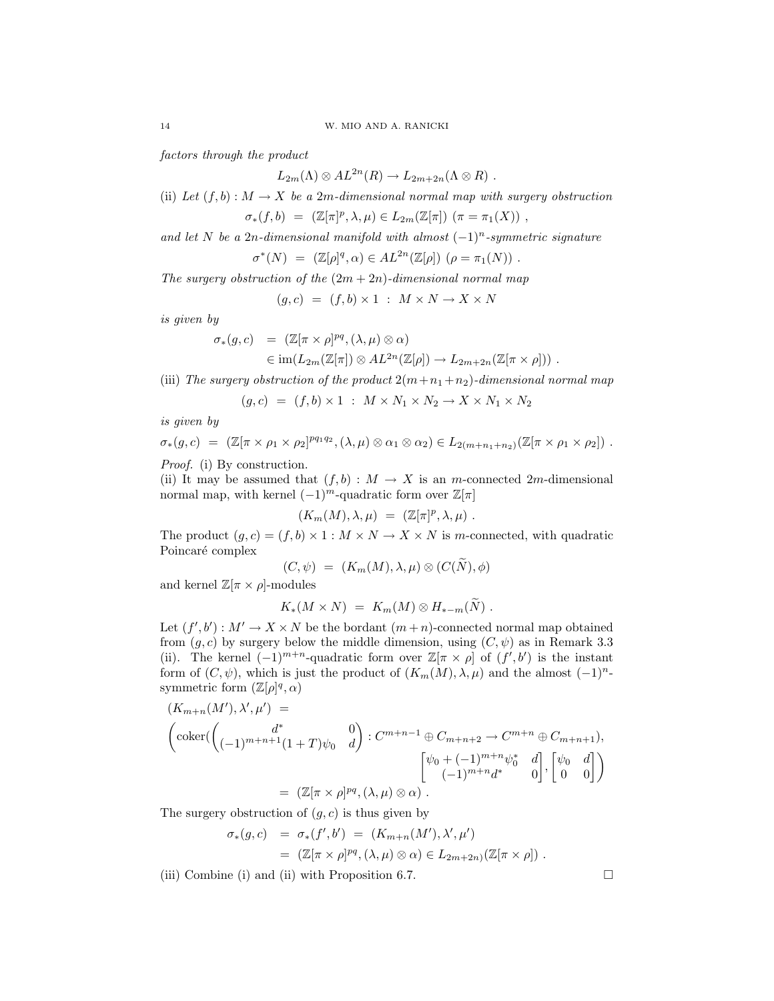factors through the product

$$
L_{2m}(\Lambda) \otimes AL^{2n}(R) \to L_{2m+2n}(\Lambda \otimes R) .
$$

(ii) Let  $(f, b) : M \to X$  be a 2m-dimensional normal map with surgery obstruction

$$
\sigma_*(f, b) = (\mathbb{Z}[\pi]^p, \lambda, \mu) \in L_{2m}(\mathbb{Z}[\pi]) \; (\pi = \pi_1(X)) \; ,
$$

and let N be a 2n-dimensional manifold with almost  $(-1)^n$ -symmetric signature

$$
\sigma^*(N) = (\mathbb{Z}[\rho]^q, \alpha) \in AL^{2n}(\mathbb{Z}[\rho]) \; (\rho = \pi_1(N)) \; .
$$

The surgery obstruction of the  $(2m + 2n)$ -dimensional normal map

$$
(g, c) = (f, b) \times 1 : M \times N \to X \times N
$$

is given by

$$
\sigma_*(g, c) = (\mathbb{Z}[\pi \times \rho]^{pq}, (\lambda, \mu) \otimes \alpha)
$$
  

$$
\in \text{im}(L_{2m}(\mathbb{Z}[\pi]) \otimes AL^{2n}(\mathbb{Z}[\rho]) \to L_{2m+2n}(\mathbb{Z}[\pi \times \rho])) .
$$

(iii) The surgery obstruction of the product  $2(m+n_1+n_2)$ -dimensional normal map

$$
(g,c) = (f,b) \times 1 : M \times N_1 \times N_2 \rightarrow X \times N_1 \times N_2
$$

is given by

$$
\sigma_*(g,c) = (\mathbb{Z}[\pi \times \rho_1 \times \rho_2]^{pq_1q_2}, (\lambda,\mu) \otimes \alpha_1 \otimes \alpha_2) \in L_{2(m+n_1+n_2)}(\mathbb{Z}[\pi \times \rho_1 \times \rho_2]).
$$

Proof. (i) By construction.

(ii) It may be assumed that  $(f, b) : M \to X$  is an m-connected 2m-dimensional normal map, with kernel  $(-1)^m$ -quadratic form over  $\mathbb{Z}[\pi]$ 

$$
(K_m(M), \lambda, \mu) = (\mathbb{Z}[\pi]^p, \lambda, \mu) .
$$

The product  $(g, c) = (f, b) \times 1 : M \times N \to X \times N$  is m-connected, with quadratic Poincaré complex

$$
(C, \psi) = (K_m(M), \lambda, \mu) \otimes (C(N), \phi)
$$

and kernel  $\mathbb{Z}[\pi \times \rho]$ -modules

$$
K_*(M\times N) = K_m(M) \otimes H_{*-m}(N) .
$$

Let  $(f', b') : M' \to X \times N$  be the bordant  $(m + n)$ -connected normal map obtained from  $(g, c)$  by surgery below the middle dimension, using  $(C, \psi)$  as in Remark 3.3 (ii). The kernel  $(-1)^{m+n}$ -quadratic form over  $\mathbb{Z}[\pi \times \rho]$  of  $(f', b')$  is the instant form of  $(C, \psi)$ , which is just the product of  $(K_m(M), \lambda, \mu)$  and the almost  $(-1)^n$ symmetric form  $(\mathbb{Z}[\rho]^q, \alpha)$ 

$$
(K_{m+n}(M'), \lambda', \mu') =
$$
  

$$
\begin{pmatrix} \text{coker}({d^{*} \choose (-1)^{m+n+1}(1+T)\psi_{0} & d} \end{pmatrix} : C^{m+n-1} \oplus C_{m+n+2} \to C^{m+n} \oplus C_{m+n+1}),
$$
  

$$
\begin{bmatrix} \psi_{0} + (-1)^{m+n}\psi_{0}^{*} & d \\ (-1)^{m+n}d^{*} & 0 \end{bmatrix}, \begin{bmatrix} \psi_{0} & d \\ 0 & 0 \end{bmatrix} \end{pmatrix}
$$
  

$$
= (\mathbb{Z}[\pi \times \rho]^{pq}, (\lambda, \mu) \otimes \alpha).
$$

The surgery obstruction of  $(g, c)$  is thus given by

$$
\sigma_*(g, c) = \sigma_*(f', b') = (K_{m+n}(M'), \lambda', \mu')
$$
  
=  $(\mathbb{Z}[\pi \times \rho]^{pq}, (\lambda, \mu) \otimes \alpha) \in L_{2m+2n}(\mathbb{Z}[\pi \times \rho]).$ 

(iii) Combine (i) and (ii) with Proposition 6.7.  $\Box$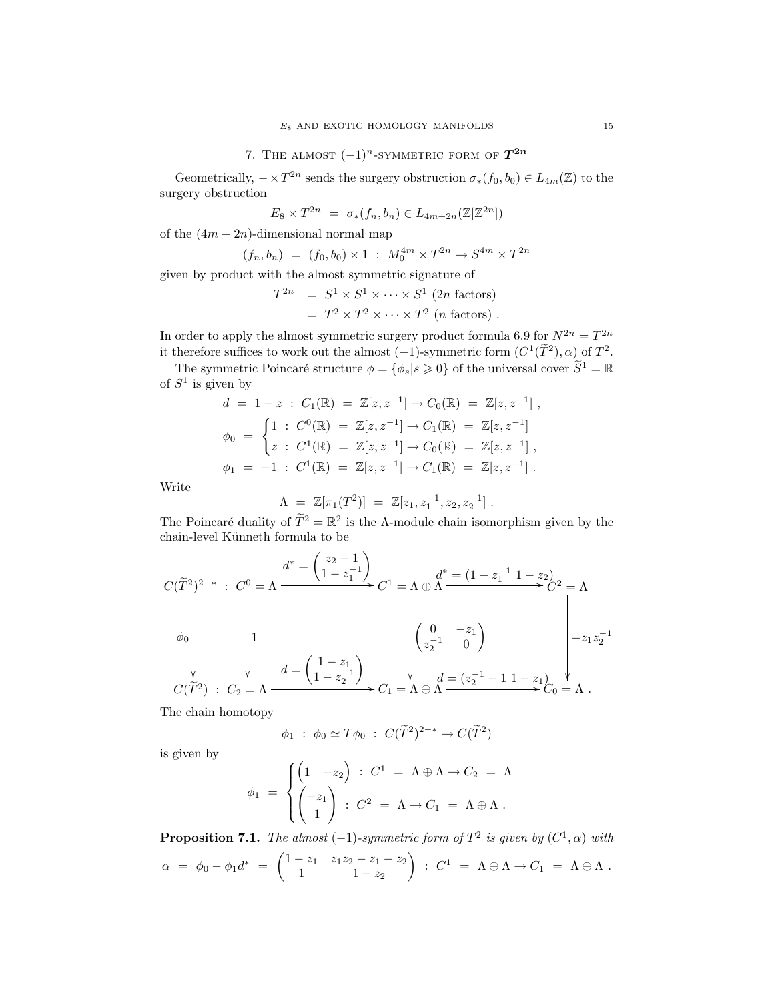Geometrically,  $-\times T^{2n}$  sends the surgery obstruction  $\sigma_*(f_0, b_0) \in L_{4m}(\mathbb{Z})$  to the surgery obstruction

$$
E_8 \times T^{2n} = \sigma_*(f_n, b_n) \in L_{4m+2n}(\mathbb{Z}[\mathbb{Z}^{2n}])
$$

of the  $(4m + 2n)$ -dimensional normal map

$$
(f_n, b_n) = (f_0, b_0) \times 1 : M_0^{4m} \times T^{2n} \to S^{4m} \times T^{2n}
$$

given by product with the almost symmetric signature of

$$
T^{2n} = S^1 \times S^1 \times \cdots \times S^1
$$
 (2n factors)  
=  $T^2 \times T^2 \times \cdots \times T^2$  (n factors).

In order to apply the almost symmetric surgery product formula 6.9 for  $N^{2n} = T^{2n}$ it therefore suffices to work out the almost  $(-1)$ -symmetric form  $(C^1(\tilde{T}^2), \alpha)$  of  $T^2$ .

The symmetric Poincaré structure  $\phi = {\phi_s | s \geq 0}$  of the universal cover  $\widetilde{S}^1 = \mathbb{R}$ of  $S^1$  is given by

$$
d = 1 - z : C_1(\mathbb{R}) = \mathbb{Z}[z, z^{-1}] \to C_0(\mathbb{R}) = \mathbb{Z}[z, z^{-1}],
$$
  
\n
$$
\phi_0 = \begin{cases}\n1 : C^0(\mathbb{R}) = \mathbb{Z}[z, z^{-1}] \to C_1(\mathbb{R}) = \mathbb{Z}[z, z^{-1}] \\
z : C^1(\mathbb{R}) = \mathbb{Z}[z, z^{-1}] \to C_0(\mathbb{R}) = \mathbb{Z}[z, z^{-1}], \\
\phi_1 = -1 : C^1(\mathbb{R}) = \mathbb{Z}[z, z^{-1}] \to C_1(\mathbb{R}) = \mathbb{Z}[z, z^{-1}].\n\end{cases}
$$

Write

$$
\Lambda = \mathbb{Z}[\pi_1(T^2)] = \mathbb{Z}[z_1, z_1^{-1}, z_2, z_2^{-1}].
$$

The Poincaré duality of  $\tilde{T}^2 = \mathbb{R}^2$  is the Λ-module chain isomorphism given by the chain-level Künneth formula to be

$$
C(\widetilde{T}^{2})^{2-*}: C^{0} = \Lambda \xrightarrow{d^{*} = \begin{pmatrix} z_{2} - 1 \\ 1 - z_{1}^{-1} \end{pmatrix}} C^{1} = \Lambda \oplus \Lambda \xrightarrow{d^{*} = (1 - z_{1}^{-1} 1 - z_{2})} C^{2} = \Lambda
$$
  
\n
$$
\downarrow 1
$$
  
\n
$$
C(\widetilde{T}^{2}): C_{2} = \Lambda \xrightarrow{d = \begin{pmatrix} 1 - z_{1} \\ 1 - z_{2}^{-1} \end{pmatrix}} C_{1} = \Lambda \oplus \Lambda \xrightarrow{d^{*} = (1 - z_{1}^{-1} 1 - z_{2})} C_{2} = \Lambda
$$
  
\n
$$
\downarrow 0
$$
  
\n
$$
C_{1} = \Lambda \oplus \Lambda \xrightarrow{d = (z_{2}^{-1} - 1 1 - z_{1})} C_{0} = \Lambda.
$$

The chain homotopy

$$
\phi_1 : \phi_0 \simeq T\phi_0 : C(\widetilde{T}^2)^{2-*} \to C(\widetilde{T}^2)
$$

is given by

$$
\phi_1 = \begin{cases} \begin{pmatrix} 1 & -z_2 \end{pmatrix} : C^1 = \Lambda \oplus \Lambda \to C_2 = \Lambda \\ \begin{pmatrix} -z_1 \\ 1 \end{pmatrix} : C^2 = \Lambda \to C_1 = \Lambda \oplus \Lambda \,. \end{cases}
$$

**Proposition 7.1.** The almost  $(-1)$ -symmetric form of  $T^2$  is given by  $(C^1,\alpha)$  with  $\alpha = \phi_0 - \phi_1 d^* = \begin{pmatrix} 1 - z_1 & z_1 z_2 - z_1 - z_2 \\ 1 & 1 & z_1 \end{pmatrix}$ 1  $1 - z_2$  $\Big)$  :  $C^1 = \Lambda \oplus \Lambda \to C_1 = \Lambda \oplus \Lambda$ .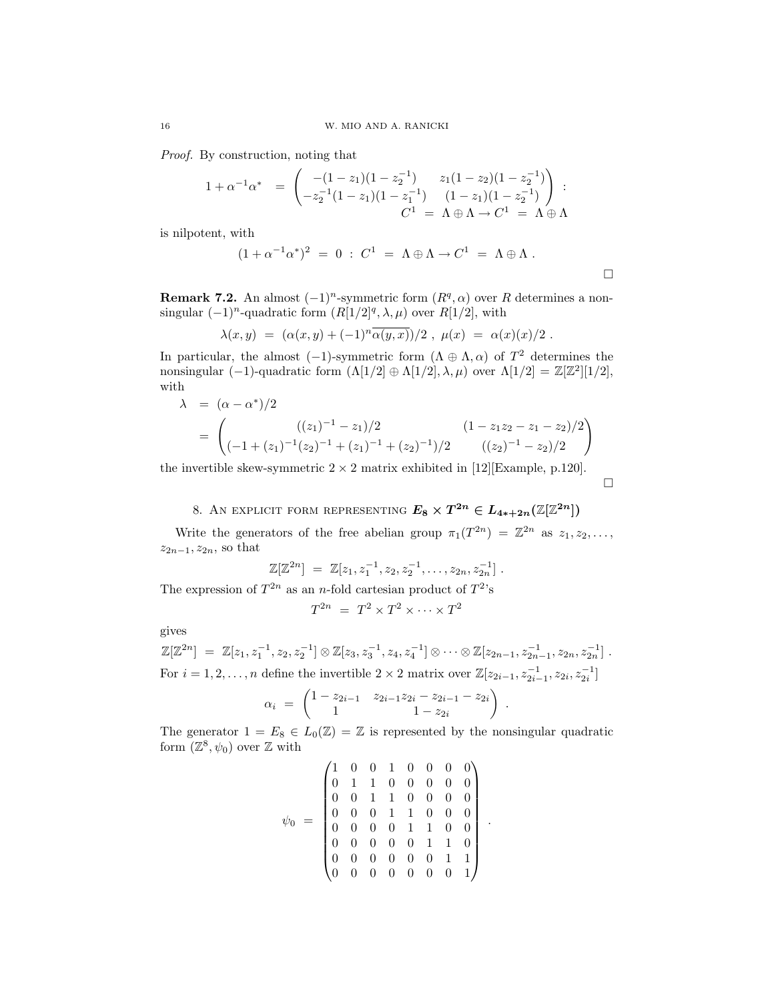Proof. By construction, noting that

$$
1 + \alpha^{-1} \alpha^* = \begin{pmatrix} -(1 - z_1)(1 - z_2^{-1}) & z_1(1 - z_2)(1 - z_2^{-1}) \\ -z_2^{-1}(1 - z_1)(1 - z_1^{-1}) & (1 - z_1)(1 - z_2^{-1}) \\ C^1 = \Lambda \oplus \Lambda \to C^1 = \Lambda \oplus \Lambda \end{pmatrix} :
$$

is nilpotent, with

$$
(1 + \alpha^{-1} \alpha^*)^2 = 0 : C^1 = \Lambda \oplus \Lambda \to C^1 = \Lambda \oplus \Lambda .
$$

**Remark 7.2.** An almost  $(-1)^n$ -symmetric form  $(R^q, \alpha)$  over R determines a nonsingular  $(-1)^n$ -quadratic form  $(R[1/2]^q, \lambda, \mu)$  over  $R[1/2]$ , with

$$
\lambda(x, y) = (\alpha(x, y) + (-1)^n \overline{\alpha(y, x)})/2, \mu(x) = \alpha(x)(x)/2.
$$

In particular, the almost (-1)-symmetric form  $(\Lambda \oplus \Lambda, \alpha)$  of  $T^2$  determines the nonsingular (-1)-quadratic form  $(\Lambda[1/2] \oplus \Lambda[1/2], \lambda, \mu)$  over  $\Lambda[1/2] = \mathbb{Z}[\mathbb{Z}^2][1/2],$ with

$$
\lambda = (\alpha - \alpha^*)/2
$$
  
= 
$$
\begin{pmatrix} ((z_1)^{-1} - z_1)/2 & (1 - z_1 z_2 - z_1 - z_2)/2 \\ (-1 + (z_1)^{-1}(z_2)^{-1} + (z_1)^{-1} + (z_2)^{-1})/2 & ((z_2)^{-1} - z_2)/2 \end{pmatrix}
$$

 $\Box$ 

the invertible skew-symmetric  $2 \times 2$  matrix exhibited in [12][Example, p.120].

8. AN EXPLICIT FORM REPRESENTING  $E_8 \times T^{2n} \in L_{4*+2n}(\mathbb{Z}[\mathbb{Z}^{2n}])$ 

Write the generators of the free abelian group  $\pi_1(T^{2n}) = \mathbb{Z}^{2n}$  as  $z_1, z_2, \ldots$ ,  $z_{2n-1}, z_{2n},$  so that

$$
\mathbb{Z}[\mathbb{Z}^{2n}] = \mathbb{Z}[z_1, z_1^{-1}, z_2, z_2^{-1}, \dots, z_{2n}, z_{2n}^{-1}].
$$

The expression of  $T^{2n}$  as an *n*-fold cartesian product of  $T^{2}$ 's

$$
T^{2n} = T^2 \times T^2 \times \cdots \times T^2
$$

gives

$$
\mathbb{Z}[\mathbb{Z}^{2n}] = \mathbb{Z}[z_1, z_1^{-1}, z_2, z_2^{-1}] \otimes \mathbb{Z}[z_3, z_3^{-1}, z_4, z_4^{-1}] \otimes \cdots \otimes \mathbb{Z}[z_{2n-1}, z_{2n-1}^{-1}, z_{2n}, z_{2n}^{-1}] \ .
$$
  
For  $i = 1, 2, ..., n$  define the invertible  $2 \times 2$  matrix over  $\mathbb{Z}[z_{2i-1}, z_{2i-1}^{-1}, z_{2i}, z_{2i}^{-1}]$ 

$$
\alpha_i = \begin{pmatrix} 1 - z_{2i-1} & z_{2i-1}z_{2i} - z_{2i-1} - z_{2i} \\ 1 & 1 - z_{2i} \end{pmatrix}
$$

.

.

The generator  $1 = E_8 \in L_0(\mathbb{Z}) = \mathbb{Z}$  is represented by the nonsingular quadratic form  $(\mathbb{Z}^8, \psi_0)$  over  $\mathbb Z$  with

$$
\psi_0 \ = \ \begin{pmatrix} 1 & 0 & 0 & 1 & 0 & 0 & 0 & 0 \\ 0 & 1 & 1 & 0 & 0 & 0 & 0 & 0 \\ 0 & 0 & 1 & 1 & 0 & 0 & 0 & 0 \\ 0 & 0 & 0 & 1 & 1 & 0 & 0 & 0 \\ 0 & 0 & 0 & 0 & 1 & 1 & 0 & 0 \\ 0 & 0 & 0 & 0 & 0 & 1 & 1 & 0 \\ 0 & 0 & 0 & 0 & 0 & 0 & 1 & 1 \\ 0 & 0 & 0 & 0 & 0 & 0 & 0 & 1 \end{pmatrix}
$$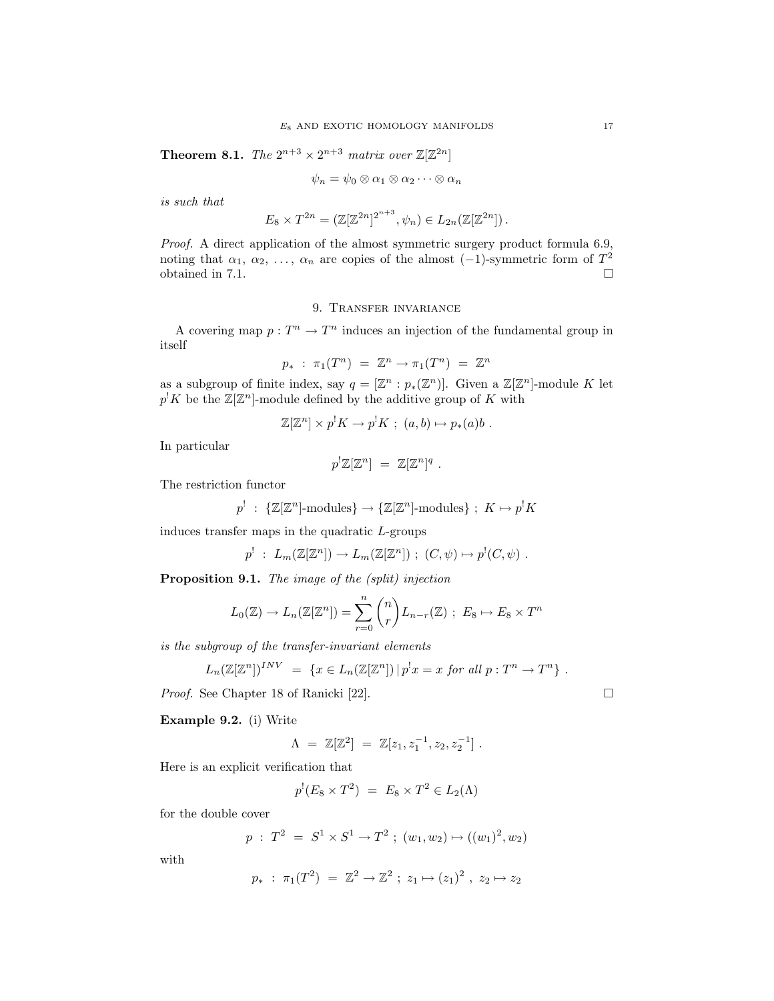**Theorem 8.1.** The  $2^{n+3} \times 2^{n+3}$  matrix over  $\mathbb{Z}[\mathbb{Z}^{2n}]$ 

$$
\psi_n = \psi_0 \otimes \alpha_1 \otimes \alpha_2 \cdots \otimes \alpha_n
$$

is such that

$$
E_8 \times T^{2n} = (\mathbb{Z}[\mathbb{Z}^{2n}]^{2^{n+3}}, \psi_n) \in L_{2n}(\mathbb{Z}[\mathbb{Z}^{2n}]).
$$

Proof. A direct application of the almost symmetric surgery product formula 6.9, noting that  $\alpha_1, \alpha_2, \ldots, \alpha_n$  are copies of the almost  $(-1)$ -symmetric form of  $T^2$ obtained in 7.1.  $\Box$ 

## 9. Transfer invariance

A covering map  $p: T^n \to T^n$  induces an injection of the fundamental group in itself

$$
p_* \; : \; \pi_1(T^n) \; = \; \mathbb{Z}^n \to \pi_1(T^n) \; = \; \mathbb{Z}^n
$$

as a subgroup of finite index, say  $q = [\mathbb{Z}^n : p_*(\mathbb{Z}^n)]$ . Given a  $\mathbb{Z}[\mathbb{Z}^n]$ -module K let  $p^{\dagger} K$  be the  $\mathbb{Z}[\mathbb{Z}^n]$ -module defined by the additive group of K with

$$
\mathbb{Z}[\mathbb{Z}^n] \times p^! K \to p^! K \; ; \; (a, b) \mapsto p_*(a) b \; .
$$

In particular

$$
p^!\mathbb{Z}[\mathbb{Z}^n] = \mathbb{Z}[\mathbb{Z}^n]^q.
$$

The restriction functor

$$
p^!: \ \{\mathbb{Z}[\mathbb{Z}^n]\text{-modules}\} \to \{\mathbb{Z}[\mathbb{Z}^n]\text{-modules}\} \ ; \ K \mapsto p^!K
$$

induces transfer maps in the quadratic L-groups

$$
p': L_m(\mathbb{Z}[\mathbb{Z}^n]) \to L_m(\mathbb{Z}[\mathbb{Z}^n]) ; (C, \psi) \mapsto p^!(C, \psi) .
$$

Proposition 9.1. The image of the (split) injection

$$
L_0(\mathbb{Z}) \to L_n(\mathbb{Z}[\mathbb{Z}^n]) = \sum_{r=0}^n {n \choose r} L_{n-r}(\mathbb{Z}) \; ; \; E_8 \mapsto E_8 \times T^n
$$

is the subgroup of the transfer-invariant elements

$$
L_n(\mathbb{Z}[\mathbb{Z}^n])^{INV} = \{ x \in L_n(\mathbb{Z}[\mathbb{Z}^n]) \, | \, p^!x = x \text{ for all } p : T^n \to T^n \} .
$$

*Proof.* See Chapter 18 of Ranicki [22]. □

Example 9.2. (i) Write

$$
\Lambda = \mathbb{Z}[\mathbb{Z}^2] = \mathbb{Z}[z_1, z_1^{-1}, z_2, z_2^{-1}].
$$

Here is an explicit verification that

$$
p^!(E_8 \times T^2) = E_8 \times T^2 \in L_2(\Lambda)
$$

for the double cover

$$
p : T^2 = S^1 \times S^1 \to T^2 ; (w_1, w_2) \mapsto ((w_1)^2, w_2)
$$

with

$$
p_*
$$
 :  $\pi_1(T^2) = \mathbb{Z}^2 \to \mathbb{Z}^2$ ;  $z_1 \mapsto (z_1)^2$ ,  $z_2 \mapsto z_2$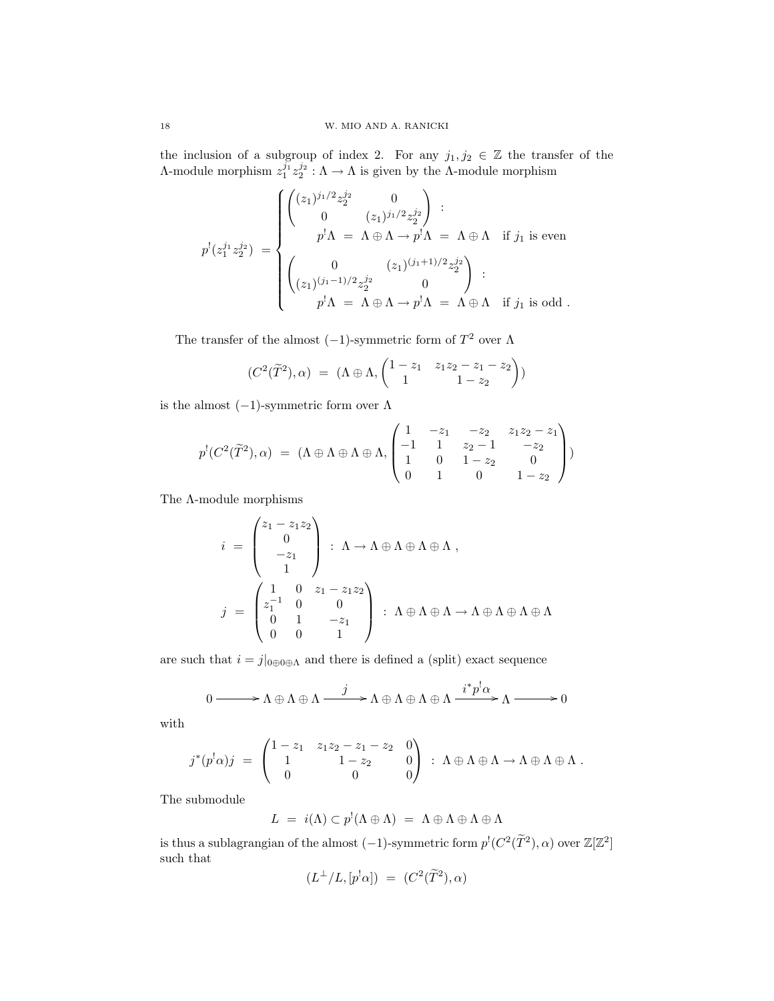the inclusion of a subgroup of index 2. For any  $j_1, j_2 \in \mathbb{Z}$  the transfer of the A-module morphism  $z_1^{j_1}z_2^{j_2}$  :  $Λ → Λ$  is given by the Λ-module morphism

$$
p^!(z_1^{j_1}z_2^{j_2}) = \begin{cases} \begin{pmatrix} (z_1)^{j_1/2}z_2^{j_2} & 0\\ 0 & (z_1)^{j_1/2}z_2^{j_2} \end{pmatrix} \; : \\ p^!\Lambda = \Lambda \oplus \Lambda \to p^!\Lambda = \Lambda \oplus \Lambda \quad \text{if } j_1 \text{ is even} \\ \begin{pmatrix} 0 & (z_1)^{(j_1+1)/2}z_2^{j_2} \\ (z_1)^{(j_1-1)/2}z_2^{j_2} & 0 \end{pmatrix} \; : \\ p^!\Lambda = \Lambda \oplus \Lambda \to p^!\Lambda = \Lambda \oplus \Lambda \quad \text{if } j_1 \text{ is odd.} \end{cases}
$$

The transfer of the almost  $(-1)$ -symmetric form of  $T^2$  over  $\Lambda$ 

$$
(C2(\widetilde{T}2), \alpha) = (\Lambda \oplus \Lambda, \begin{pmatrix} 1-z_1 & z_1z_2 - z_1 - z_2 \ 1 & 1-z_2 \end{pmatrix})
$$

is the almost  $(-1)$ -symmetric form over  $\Lambda$ 

$$
p^{!}(C^{2}(\widetilde{T}^{2}), \alpha) = (\Lambda \oplus \Lambda \oplus \Lambda \oplus \Lambda, \begin{pmatrix} 1 & -z_{1} & -z_{2} & z_{1}z_{2} - z_{1} \\ -1 & 1 & z_{2} - 1 & -z_{2} \\ 1 & 0 & 1 - z_{2} & 0 \\ 0 & 1 & 0 & 1 - z_{2} \end{pmatrix})
$$

The  $\Lambda\text{-module morphisms}$ 

$$
i = \begin{pmatrix} z_1 - z_1 z_2 \\ 0 \\ -z_1 \\ 1 \end{pmatrix} : \Lambda \to \Lambda \oplus \Lambda \oplus \Lambda \oplus \Lambda ,
$$

$$
j = \begin{pmatrix} 1 & 0 & z_1 - z_1 z_2 \\ z_1^{-1} & 0 & 0 \\ 0 & 1 & -z_1 \\ 0 & 0 & 1 \end{pmatrix} : \Lambda \oplus \Lambda \oplus \Lambda \to \Lambda \oplus \Lambda \oplus \Lambda \oplus \Lambda
$$

are such that  $i = j|_{0 \oplus 0 \oplus \Lambda}$  and there is defined a (split) exact sequence

$$
0 \longrightarrow \Lambda \oplus \Lambda \oplus \Lambda \longrightarrow \Lambda \oplus \Lambda \oplus \Lambda \oplus \Lambda \oplus \Lambda \stackrel{i^*p^! \alpha}{\longrightarrow} \Lambda \longrightarrow 0
$$

with

$$
j^*(p^!\alpha)j = \begin{pmatrix} 1 - z_1 & z_1z_2 - z_1 - z_2 & 0 \\ 1 & 1 - z_2 & 0 \\ 0 & 0 & 0 \end{pmatrix} : \Lambda \oplus \Lambda \oplus \Lambda \to \Lambda \oplus \Lambda \oplus \Lambda.
$$

The submodule

$$
L = i(\Lambda) \subset p^!(\Lambda \oplus \Lambda) = \Lambda \oplus \Lambda \oplus \Lambda \oplus \Lambda
$$

is thus a sublagrangian of the almost  $(-1)$ -symmetric form  $p'(C^2(\tilde{T}^2), \alpha)$  over  $\mathbb{Z}[\mathbb{Z}^2]$ such that

$$
(L^{\perp}/L, [p^! \alpha]) = (C^2(\widetilde{T}^2), \alpha)
$$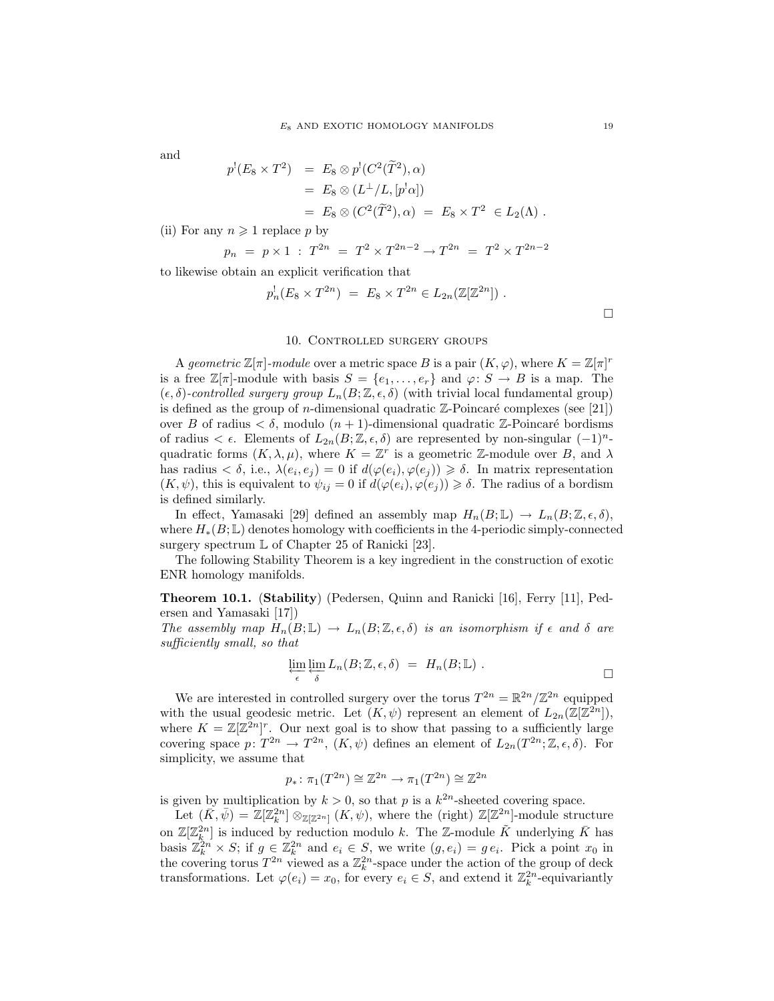and

$$
p'(E_8 \times T^2) = E_8 \otimes p'(C^2(\tilde{T}^2), \alpha)
$$
  
=  $E_8 \otimes (L^{\perp}/L, [p' \alpha])$   
=  $E_8 \otimes (C^2(\tilde{T}^2), \alpha) = E_8 \times T^2 \in L_2(\Lambda)$ .

(ii) For any  $n \geq 1$  replace p by

$$
p_n = p \times 1 : T^{2n} = T^2 \times T^{2n-2} \to T^{2n} = T^2 \times T^{2n-2}
$$

to likewise obtain an explicit verification that

$$
p_n^!(E_8 \times T^{2n}) = E_8 \times T^{2n} \in L_{2n}(\mathbb{Z}[\mathbb{Z}^{2n}])
$$
.

### 10. Controlled surgery groups

A geometric  $\mathbb{Z}[\pi]$ -module over a metric space B is a pair  $(K, \varphi)$ , where  $K = \mathbb{Z}[\pi]^r$ is a free  $\mathbb{Z}[\pi]$ -module with basis  $S = \{e_1, \ldots, e_r\}$  and  $\varphi \colon S \to B$  is a map. The  $(\epsilon, \delta)$ -controlled surgery group  $L_n(B; \mathbb{Z}, \epsilon, \delta)$  (with trivial local fundamental group) is defined as the group of *n*-dimensional quadratic  $\mathbb{Z}$ -Poincaré complexes (see [21]) over B of radius  $\lt \delta$ , modulo  $(n + 1)$ -dimensional quadratic Z-Poincaré bordisms of radius  $\lt \epsilon$ . Elements of  $L_{2n}(B;\mathbb{Z},\epsilon,\delta)$  are represented by non-singular  $(-1)^n$ quadratic forms  $(K, \lambda, \mu)$ , where  $K = \mathbb{Z}^r$  is a geometric  $\mathbb{Z}$ -module over B, and  $\lambda$ has radius  $\langle \delta, i.e., \lambda(e_i, e_j) = 0$  if  $d(\varphi(e_i), \varphi(e_j)) \geq \delta$ . In matrix representation  $(K, \psi)$ , this is equivalent to  $\psi_{ij} = 0$  if  $d(\varphi(e_i), \varphi(e_j)) \geq \delta$ . The radius of a bordism is defined similarly.

In effect, Yamasaki [29] defined an assembly map  $H_n(B;\mathbb{L}) \to L_n(B;\mathbb{Z},\epsilon,\delta)$ , where  $H_*(B;\mathbb{L})$  denotes homology with coefficients in the 4-periodic simply-connected surgery spectrum  $\mathbb L$  of Chapter 25 of Ranicki [23].

The following Stability Theorem is a key ingredient in the construction of exotic ENR homology manifolds.

Theorem 10.1. (Stability) (Pedersen, Quinn and Ranicki [16], Ferry [11], Pedersen and Yamasaki [17])

The assembly map  $H_n(B;\mathbb{L}) \to L_n(B;\mathbb{Z},\epsilon,\delta)$  is an isomorphism if  $\epsilon$  and  $\delta$  are sufficiently small, so that

$$
\varprojlim_{\epsilon} \varprojlim_{\delta} L_n(B; \mathbb{Z}, \epsilon, \delta) = H_n(B; \mathbb{L}) . \square
$$

We are interested in controlled surgery over the torus  $T^{2n} = \mathbb{R}^{2n}/\mathbb{Z}^{2n}$  equipped with the usual geodesic metric. Let  $(K, \psi)$  represent an element of  $L_{2n}(\mathbb{Z}[\mathbb{Z}^{2n}]),$ where  $K = \mathbb{Z}[\mathbb{Z}^{2n}]^r$ . Our next goal is to show that passing to a sufficiently large covering space  $p: T^{2n} \to T^{2n}$ ,  $(K, \psi)$  defines an element of  $L_{2n}(T^{2n}; \mathbb{Z}, \epsilon, \delta)$ . For simplicity, we assume that

$$
p_*\colon \pi_1(T^{2n}) \cong \mathbb{Z}^{2n} \to \pi_1(T^{2n}) \cong \mathbb{Z}^{2n}
$$

is given by multiplication by  $k > 0$ , so that p is a  $k^{2n}$ -sheeted covering space.

Let  $(\tilde{K}, \tilde{\psi}) = \mathbb{Z}[\mathbb{Z}_k^{2n}] \otimes_{\mathbb{Z}[\mathbb{Z}^{2n}]} (K, \psi)$ , where the (right)  $\mathbb{Z}[\mathbb{Z}^{2n}]$ -module structure on  $\mathbb{Z}[\mathbb{Z}_k^{2n}]$  is induced by reduction modulo k. The Z-module  $\tilde{K}$  underlying  $\bar{K}$  has basis  $\mathbb{Z}_k^{2n} \times S$ ; if  $g \in \mathbb{Z}_k^{2n}$  and  $e_i \in S$ , we write  $(g, e_i) = g e_i$ . Pick a point  $x_0$  in the covering torus  $T^{2n}$  viewed as a  $\mathbb{Z}_k^{2n}$ -space under the action of the group of deck transformations. Let  $\varphi(e_i) = x_0$ , for every  $e_i \in S$ , and extend it  $\mathbb{Z}_k^{2n}$ -equivariantly

 $\Box$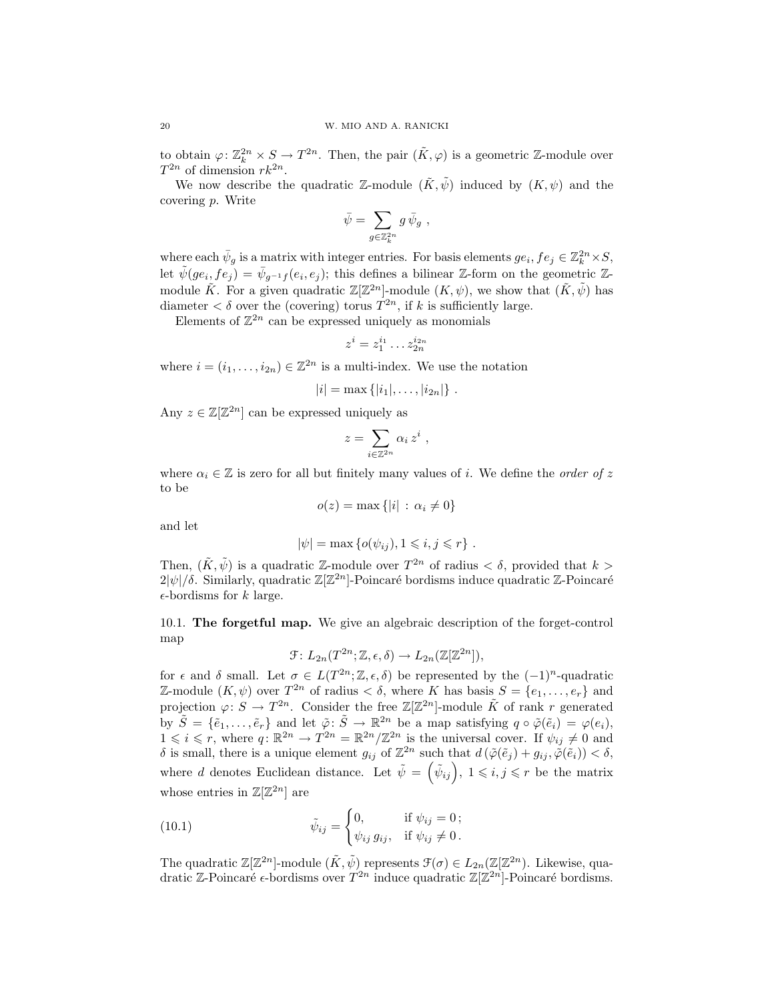to obtain  $\varphi: \mathbb{Z}_k^{2n} \times S \to T^{2n}$ . Then, the pair  $(\tilde{K}, \varphi)$  is a geometric Z-module over  $T^{2n}$  of dimension  $rk^{2n}$ .

We now describe the quadratic Z-module  $(\tilde{K}, \tilde{\psi})$  induced by  $(K, \psi)$  and the covering p. Write

$$
\bar{\psi} = \sum_{g \in \mathbb{Z}_k^{2n}} g \, \bar{\psi}_g \ ,
$$

where each  $\bar{\psi}_g$  is a matrix with integer entries. For basis elements  $ge_i, fe_j \in \mathbb{Z}_k^{2n} \times S$ , let  $\tilde{\psi}(ge_i, fe_j) = \bar{\psi}_{g^{-1}f}(e_i, e_j)$ ; this defines a bilinear Z-form on the geometric Zmodule  $\tilde{K}$ . For a given quadratic  $\mathbb{Z}[\mathbb{Z}^{2n}]$ -module  $(K, \psi)$ , we show that  $(\tilde{K}, \tilde{\psi})$  has diameter  $\lt \delta$  over the (covering) torus  $T^{2n}$ , if k is sufficiently large.

Elements of  $\mathbb{Z}^{2n}$  can be expressed uniquely as monomials

$$
z^i = z_1^{i_1} \dots z_{2n}^{i_{2n}}
$$

where  $i = (i_1, \ldots, i_{2n}) \in \mathbb{Z}^{2n}$  is a multi-index. We use the notation

$$
|i| = \max\{|i_1|, \ldots, |i_{2n}|\}.
$$

Any  $z \in \mathbb{Z}[\mathbb{Z}^{2n}]$  can be expressed uniquely as

$$
z = \sum_{i \in \mathbb{Z}^{2n}} \alpha_i z^i ,
$$

where  $\alpha_i \in \mathbb{Z}$  is zero for all but finitely many values of *i*. We define the *order of* z to be

$$
o(z) = \max\{|i| \,:\, \alpha_i \neq 0\}
$$

and let

$$
|\psi| = \max \left\{ o(\psi_{ij}), 1 \leq i, j \leq r \right\}.
$$

Then,  $(\tilde{K}, \tilde{\psi})$  is a quadratic Z-module over  $T^{2n}$  of radius  $\langle \delta \rangle$ , provided that  $k >$  $2|\psi|/\delta$ . Similarly, quadratic  $\mathbb{Z}[\mathbb{Z}^{2n}]$ -Poincaré bordisms induce quadratic Z-Poincaré  $\epsilon$ -bordisms for k large.

10.1. The forgetful map. We give an algebraic description of the forget-control map

$$
\mathcal{F}: L_{2n}(T^{2n}; \mathbb{Z}, \epsilon, \delta) \to L_{2n}(\mathbb{Z}[\mathbb{Z}^{2n}]),
$$

for  $\epsilon$  and  $\delta$  small. Let  $\sigma \in L(T^{2n}; \mathbb{Z}, \epsilon, \delta)$  be represented by the  $(-1)^n$ -quadratic Z-module  $(K, \psi)$  over  $T^{2n}$  of radius  $\lt \delta$ , where K has basis  $S = \{e_1, \ldots, e_r\}$  and projection  $\varphi: S \to T^{2n}$ . Consider the free  $\mathbb{Z}[\mathbb{Z}^{2n}]$ -module  $\tilde{K}$  of rank r generated by  $\tilde{S} = \{\tilde{e}_1, \ldots, \tilde{e}_r\}$  and let  $\tilde{\varphi} \colon \tilde{S} \to \mathbb{R}^{2n}$  be a map satisfying  $q \circ \tilde{\varphi}(\tilde{e}_i) = \varphi(e_i)$ ,  $1 \leq i \leq r$ , where  $q: \mathbb{R}^{2n} \to T^{2n} = \mathbb{R}^{2n}/\mathbb{Z}^{2n}$  is the universal cover. If  $\psi_{ij} \neq 0$  and δ is small, there is a unique element  $g_{ij}$  of  $\mathbb{Z}^{2n}$  such that  $d(\tilde{\varphi}(\tilde{e}_j) + g_{ij}, \tilde{\varphi}(\tilde{e}_i)) < \delta$ , where d denotes Euclidean distance. Let  $\tilde{\psi} = (\tilde{\psi}_{ij}), 1 \leqslant i, j \leqslant r$  be the matrix whose entries in  $\mathbb{Z}[\mathbb{Z}^{2n}]$  are

(10.1) 
$$
\tilde{\psi}_{ij} = \begin{cases} 0, & \text{if } \psi_{ij} = 0; \\ \psi_{ij} g_{ij}, & \text{if } \psi_{ij} \neq 0. \end{cases}
$$

The quadratic  $\mathbb{Z}[\mathbb{Z}^{2n}]$ -module  $(\tilde{K}, \tilde{\psi})$  represents  $\mathfrak{F}(\sigma) \in L_{2n}(\mathbb{Z}[\mathbb{Z}^{2n})$ . Likewise, quadratic Z-Poincaré  $\epsilon$ -bordisms over  $T^{2n}$  induce quadratic  $\mathbb{Z}[\mathbb{Z}^{2n}]$ -Poincaré bordisms.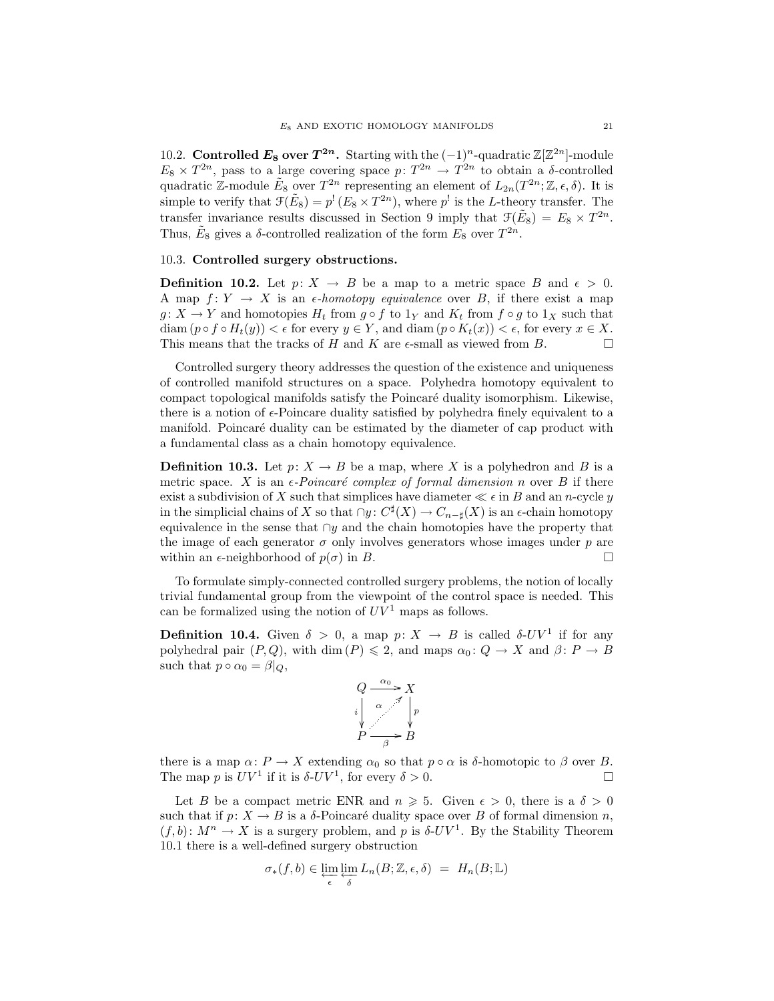10.2. Controlled  $E_8$  over  $T^{2n}$ . Starting with the  $(-1)^n$ -quadratic  $\mathbb{Z}[\mathbb{Z}^{2n}]$ -module  $E_8 \times T^{2n}$ , pass to a large covering space  $p: T^{2n} \to T^{2n}$  to obtain a  $\delta$ -controlled quadratic Z-module  $\tilde{E}_8$  over  $T^{2n}$  representing an element of  $L_{2n}(T^{2n}; \mathbb{Z}, \epsilon, \delta)$ . It is simple to verify that  $\mathcal{F}(\tilde{E}_8) = p^! (E_8 \times T^{2n})$ , where  $p^!$  is the L-theory transfer. The transfer invariance results discussed in Section 9 imply that  $\mathcal{F}(\tilde{E}_8) = E_8 \times T^{2n}$ . Thus,  $\tilde{E}_8$  gives a  $\delta$ -controlled realization of the form  $E_8$  over  $T^{2n}$ .

### 10.3. Controlled surgery obstructions.

**Definition 10.2.** Let  $p: X \to B$  be a map to a metric space B and  $\epsilon > 0$ . A map  $f: Y \to X$  is an  $\epsilon$ -homotopy equivalence over B, if there exist a map  $g: X \to Y$  and homotopies  $H_t$  from  $g \circ f$  to  $1_Y$  and  $K_t$  from  $f \circ g$  to  $1_X$  such that diam  $(p \circ f \circ H_t(y)) < \epsilon$  for every  $y \in Y$ , and diam  $(p \circ K_t(x)) < \epsilon$ , for every  $x \in X$ . This means that the tracks of H and K are  $\epsilon$ -small as viewed from B.

Controlled surgery theory addresses the question of the existence and uniqueness of controlled manifold structures on a space. Polyhedra homotopy equivalent to compact topological manifolds satisfy the Poincar´e duality isomorphism. Likewise, there is a notion of  $\epsilon$ -Poincare duality satisfied by polyhedra finely equivalent to a manifold. Poincaré duality can be estimated by the diameter of cap product with a fundamental class as a chain homotopy equivalence.

**Definition 10.3.** Let  $p: X \to B$  be a map, where X is a polyhedron and B is a metric space. X is an  $\epsilon$ -Poincaré complex of formal dimension n over B if there exist a subdivision of X such that simplices have diameter  $\ll \epsilon$  in B and an n-cycle y in the simplicial chains of X so that  $\cap y \colon C^{\sharp}(X) \to C_{n-\sharp}(X)$  is an  $\epsilon$ -chain homotopy equivalence in the sense that  $\cap y$  and the chain homotopies have the property that the image of each generator  $\sigma$  only involves generators whose images under  $p$  are within an  $\epsilon$ -neighborhood of  $p(\sigma)$  in B.

To formulate simply-connected controlled surgery problems, the notion of locally trivial fundamental group from the viewpoint of the control space is needed. This can be formalized using the notion of  $UV^1$  maps as follows.

**Definition 10.4.** Given  $\delta > 0$ , a map  $p: X \to B$  is called  $\delta$ -UV<sup>1</sup> if for any polyhedral pair  $(P,Q)$ , with dim  $(P) \leq 2$ , and maps  $\alpha_0: Q \to X$  and  $\beta: P \to B$ such that  $p \circ \alpha_0 = \beta|_Q$ ,



there is a map  $\alpha \colon P \to X$  extending  $\alpha_0$  so that  $p \circ \alpha$  is  $\delta$ -homotopic to  $\beta$  over B. The map p is  $UV^1$  if it is  $\delta$ - $UV^1$ , for every  $\delta > 0$ .

Let B be a compact metric ENR and  $n \geq 5$ . Given  $\epsilon > 0$ , there is a  $\delta > 0$ such that if  $p: X \to B$  is a  $\delta$ -Poincaré duality space over B of formal dimension n,  $(f, b)$ :  $M^n \to X$  is a surgery problem, and p is  $\delta$ -UV<sup>1</sup>. By the Stability Theorem 10.1 there is a well-defined surgery obstruction

$$
\sigma_*(f, b) \in \varprojlim_{\epsilon} \varprojlim_{\delta} L_n(B; \mathbb{Z}, \epsilon, \delta) = H_n(B; \mathbb{L})
$$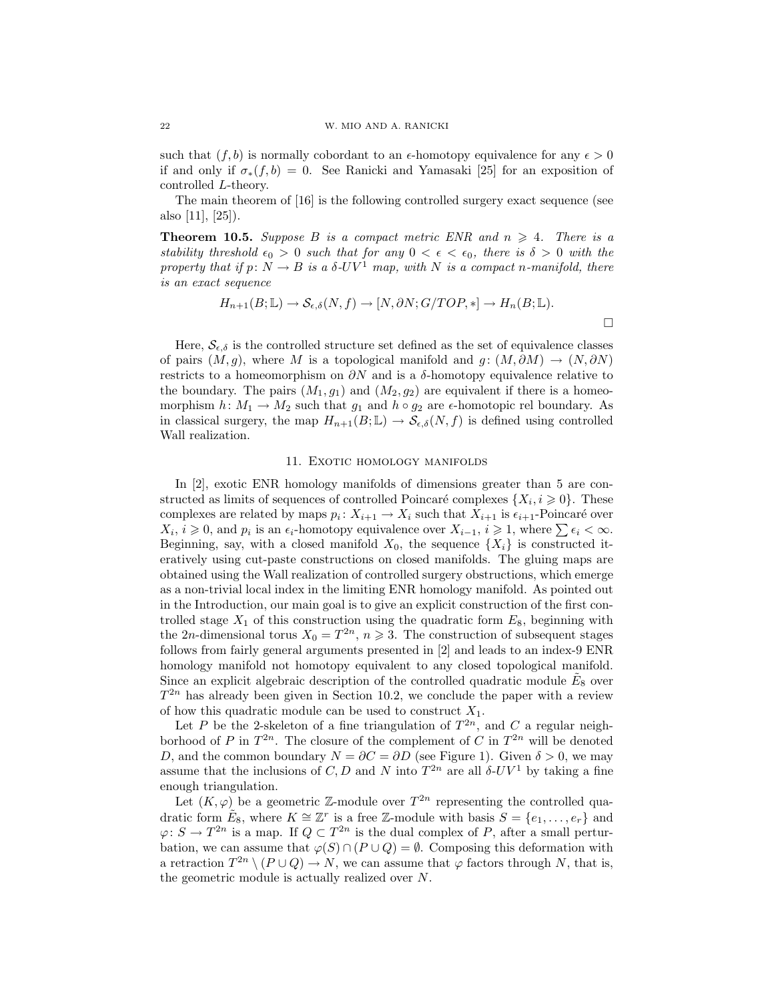such that  $(f, b)$  is normally cobordant to an  $\epsilon$ -homotopy equivalence for any  $\epsilon > 0$ if and only if  $\sigma_*(f, b) = 0$ . See Ranicki and Yamasaki [25] for an exposition of controlled L-theory.

The main theorem of [16] is the following controlled surgery exact sequence (see also [11], [25]).

**Theorem 10.5.** Suppose B is a compact metric ENR and  $n \geq 4$ . There is a stability threshold  $\epsilon_0 > 0$  such that for any  $0 < \epsilon < \epsilon_0$ , there is  $\delta > 0$  with the property that if  $p: N \to B$  is a  $\delta$ -UV<sup>1</sup> map, with N is a compact n-manifold, there is an exact sequence

$$
H_{n+1}(B; \mathbb{L}) \to \mathcal{S}_{\epsilon,\delta}(N, f) \to [N, \partial N; G/TOP, *] \to H_n(B; \mathbb{L}).
$$

Here,  $S_{\epsilon,\delta}$  is the controlled structure set defined as the set of equivalence classes of pairs  $(M, g)$ , where M is a topological manifold and  $g : (M, \partial M) \to (N, \partial N)$ restricts to a homeomorphism on  $\partial N$  and is a  $\delta$ -homotopy equivalence relative to the boundary. The pairs  $(M_1, g_1)$  and  $(M_2, g_2)$  are equivalent if there is a homeomorphism  $h: M_1 \to M_2$  such that  $g_1$  and  $h \circ g_2$  are  $\epsilon$ -homotopic rel boundary. As in classical surgery, the map  $H_{n+1}(B;\mathbb{L}) \to \mathcal{S}_{\epsilon,\delta}(N,f)$  is defined using controlled Wall realization.

#### 11. EXOTIC HOMOLOGY MANIFOLDS

In [2], exotic ENR homology manifolds of dimensions greater than 5 are constructed as limits of sequences of controlled Poincaré complexes  $\{X_i, i \geq 0\}$ . These complexes are related by maps  $p_i: X_{i+1} \to X_i$  such that  $X_{i+1}$  is  $\epsilon_{i+1}$ -Poincaré over  $X_i, i \geq 0$ , and  $p_i$  is an  $\epsilon_i$ -homotopy equivalence over  $X_{i-1}, i \geq 1$ , where  $\sum \epsilon_i < \infty$ . Beginning, say, with a closed manifold  $X_0$ , the sequence  $\{X_i\}$  is constructed iteratively using cut-paste constructions on closed manifolds. The gluing maps are obtained using the Wall realization of controlled surgery obstructions, which emerge as a non-trivial local index in the limiting ENR homology manifold. As pointed out in the Introduction, our main goal is to give an explicit construction of the first controlled stage  $X_1$  of this construction using the quadratic form  $E_8$ , beginning with the 2n-dimensional torus  $X_0 = T^{2n}$ ,  $n \ge 3$ . The construction of subsequent stages follows from fairly general arguments presented in [2] and leads to an index-9 ENR homology manifold not homotopy equivalent to any closed topological manifold. Since an explicit algebraic description of the controlled quadratic module  $\tilde{E}_8$  over  $T^{2n}$  has already been given in Section 10.2, we conclude the paper with a review of how this quadratic module can be used to construct  $X_1$ .

Let P be the 2-skeleton of a fine triangulation of  $T^{2n}$ , and C a regular neighborhood of P in  $T^{2n}$ . The closure of the complement of C in  $T^{2n}$  will be denoted D, and the common boundary  $N = \partial C = \partial D$  (see Figure 1). Given  $\delta > 0$ , we may assume that the inclusions of C, D and N into  $T^{2n}$  are all  $\delta$ -UV<sup>1</sup> by taking a fine enough triangulation.

Let  $(K, \varphi)$  be a geometric Z-module over  $T^{2n}$  representing the controlled quadratic form  $\tilde{E}_8$ , where  $K \cong \mathbb{Z}^r$  is a free  $\mathbb{Z}$ -module with basis  $S = \{e_1, \ldots, e_r\}$  and  $\varphi: S \to T^{2n}$  is a map. If  $Q \subset T^{2n}$  is the dual complex of P, after a small perturbation, we can assume that  $\varphi(S) \cap (P \cup Q) = \emptyset$ . Composing this deformation with a retraction  $T^{2n} \setminus (P \cup Q) \to N$ , we can assume that  $\varphi$  factors through N, that is, the geometric module is actually realized over N.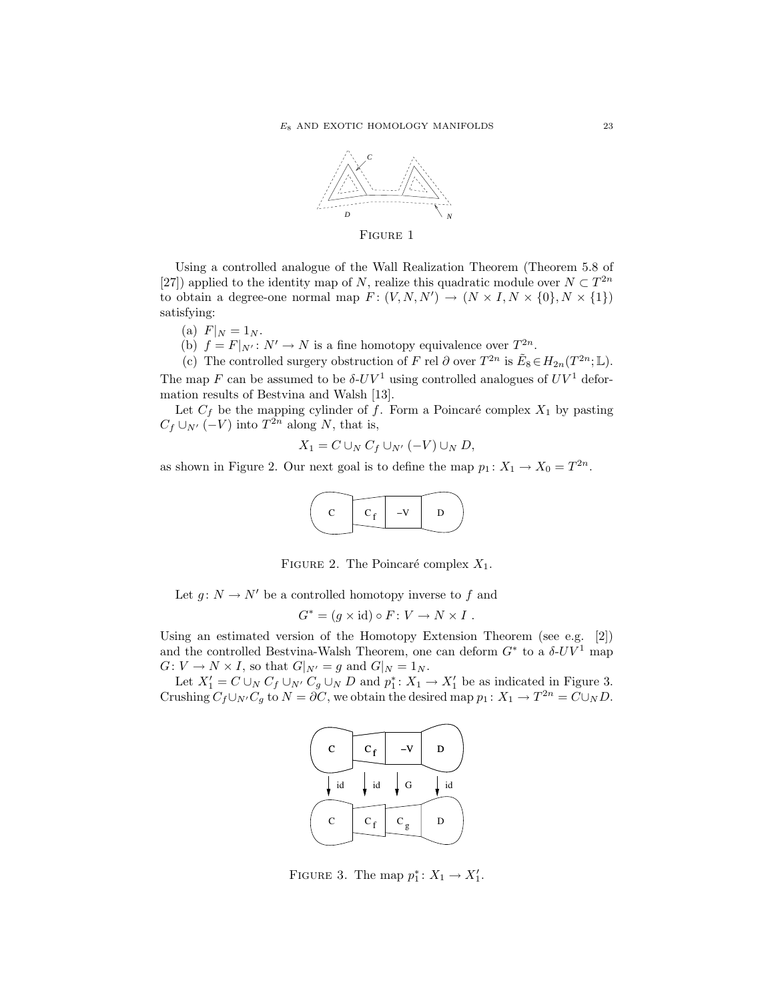

Using a controlled analogue of the Wall Realization Theorem (Theorem 5.8 of [27]) applied to the identity map of N, realize this quadratic module over  $N \subset T^{2n}$ to obtain a degree-one normal map  $F: (V, N, N') \to (N \times I, N \times \{0\}, N \times \{1\})$ satisfying:

- (a)  $F|_N = 1_N$ .
- (b)  $f = F|_{N'} : N' \to N$  is a fine homotopy equivalence over  $T^{2n}$ .

(c) The controlled surgery obstruction of F rel  $\partial$  over  $T^{2n}$  is  $\tilde{E}_8 \in H_{2n}(T^{2n}; \mathbb{L})$ . The map F can be assumed to be  $\delta$ -UV<sup>1</sup> using controlled analogues of UV<sup>1</sup> defor-

mation results of Bestvina and Walsh [13]. Let  $C_f$  be the mapping cylinder of f. Form a Poincaré complex  $X_1$  by pasting  $C_f \cup_{N'} (-V)$  into  $T^{2n}$  along N, that is,

 $X_1 = C \cup_N C_f \cup_{N'} (-V) \cup_N D,$ 

as shown in Figure 2. Our next goal is to define the map  $p_1: X_1 \to X_0 = T^{2n}$ .



FIGURE 2. The Poincaré complex  $X_1$ .

Let  $g: N \to N'$  be a controlled homotopy inverse to f and

$$
G^* = (g \times id) \circ F \colon V \to N \times I \ .
$$

Using an estimated version of the Homotopy Extension Theorem (see e.g. [2]) and the controlled Bestvina-Walsh Theorem, one can deform  $G^*$  to a  $\delta$ -UV<sup>1</sup> map  $G: V \to N \times I$ , so that  $G|_{N'} = g$  and  $G|_{N} = 1_N$ .

Let  $X'_1 = C \cup_N C_f \cup_{N'} C_g \cup_N D$  and  $p_1^*: X_1 \to X'_1$  be as indicated in Figure 3. Crushing  $C_f \cup_{N'} C_g$  to  $N = \partial C$ , we obtain the desired map  $p_1: X_1 \to T^{2n} = C \cup_N D$ .



FIGURE 3. The map  $p_1^*: X_1 \to X_1'$ .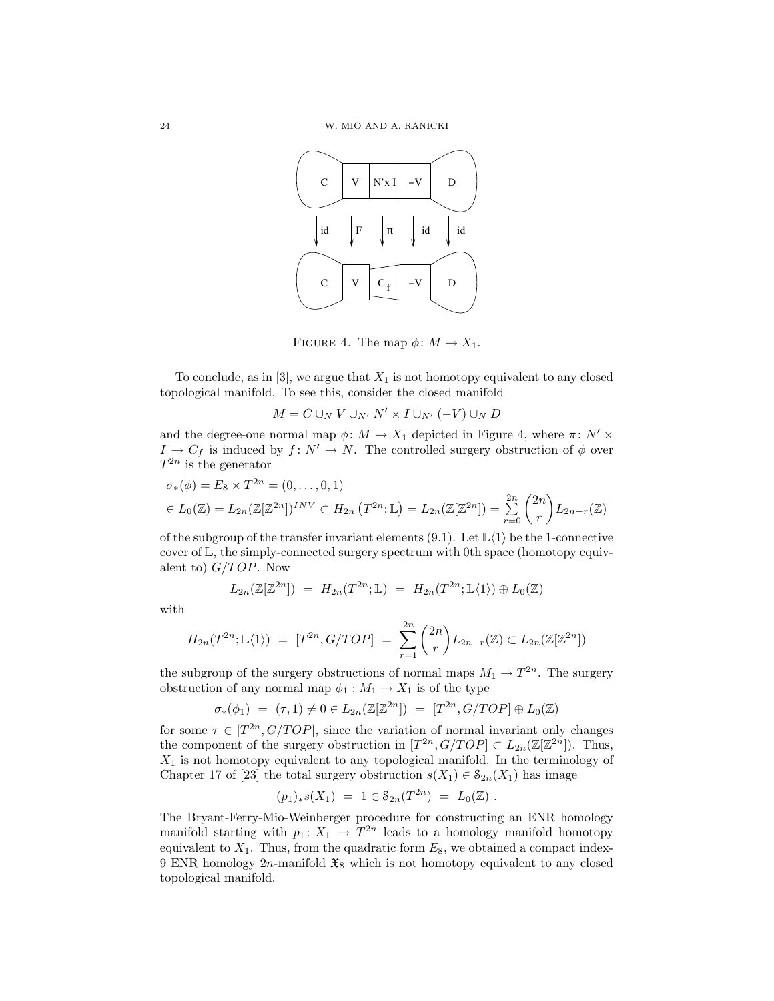

FIGURE 4. The map  $\phi \colon M \to X_1$ .

To conclude, as in [3], we argue that  $X_1$  is not homotopy equivalent to any closed topological manifold. To see this, consider the closed manifold

$$
M = C \cup_N V \cup_{N'} N' \times I \cup_{N'} (-V) \cup_N D
$$

and the degree-one normal map  $\phi \colon M \to X_1$  depicted in Figure 4, where  $\pi \colon N' \times$  $I \to C_f$  is induced by  $f: N' \to N$ . The controlled surgery obstruction of  $\phi$  over  $T^{2n}$  is the generator

$$
\sigma_*(\phi) = E_8 \times T^{2n} = (0, ..., 0, 1)
$$
  
\n
$$
\in L_0(\mathbb{Z}) = L_{2n}(\mathbb{Z}[\mathbb{Z}^{2n}])^{INV} \subset H_{2n}(\mathbb{Z}^{2n}; \mathbb{L}) = L_{2n}(\mathbb{Z}[\mathbb{Z}^{2n}]) = \sum_{r=0}^{2n} {2n \choose r} L_{2n-r}(\mathbb{Z})
$$

of the subgroup of the transfer invariant elements (9.1). Let  $\mathbb{L}\langle 1 \rangle$  be the 1-connective cover of L, the simply-connected surgery spectrum with 0th space (homotopy equivalent to)  $G/TOP$ . Now

$$
L_{2n}(\mathbb{Z}[\mathbb{Z}^{2n}]) = H_{2n}(T^{2n}; \mathbb{L}) = H_{2n}(T^{2n}; \mathbb{L}\langle 1 \rangle) \oplus L_0(\mathbb{Z})
$$

with

$$
H_{2n}(T^{2n}; \mathbb{L}\langle 1 \rangle) = [T^{2n}, G/TOP] = \sum_{r=1}^{2n} {2n \choose r} L_{2n-r}(\mathbb{Z}) \subset L_{2n}(\mathbb{Z}[\mathbb{Z}^{2n}])
$$

the subgroup of the surgery obstructions of normal maps  $M_1 \to T^{2n}$ . The surgery obstruction of any normal map  $\phi_1 : M_1 \to X_1$  is of the type

$$
\sigma_*(\phi_1) = (\tau, 1) \neq 0 \in L_{2n}(\mathbb{Z}[\mathbb{Z}^{2n}]) = [T^{2n}, G/TOP] \oplus L_0(\mathbb{Z})
$$

for some  $\tau \in [T^{2n}, G/TOP]$ , since the variation of normal invariant only changes the component of the surgery obstruction in  $[T^{2n}, G/TOP] \subset L_{2n}(\mathbb{Z}[\mathbb{Z}^{2n}])$ . Thus,  $X_1$  is not homotopy equivalent to any topological manifold. In the terminology of Chapter 17 of [23] the total surgery obstruction  $s(X_1) \in S_{2n}(X_1)$  has image

$$
(p_1)_*s(X_1) = 1 \in \mathcal{S}_{2n}(T^{2n}) = L_0(\mathbb{Z}).
$$

The Bryant-Ferry-Mio-Weinberger procedure for constructing an ENR homology manifold starting with  $p_1: X_1 \to T^{2n}$  leads to a homology manifold homotopy equivalent to  $X_1$ . Thus, from the quadratic form  $E_8$ , we obtained a compact index-9 ENR homology  $2n$ -manifold  $\mathfrak{X}_8$  which is not homotopy equivalent to any closed topological manifold.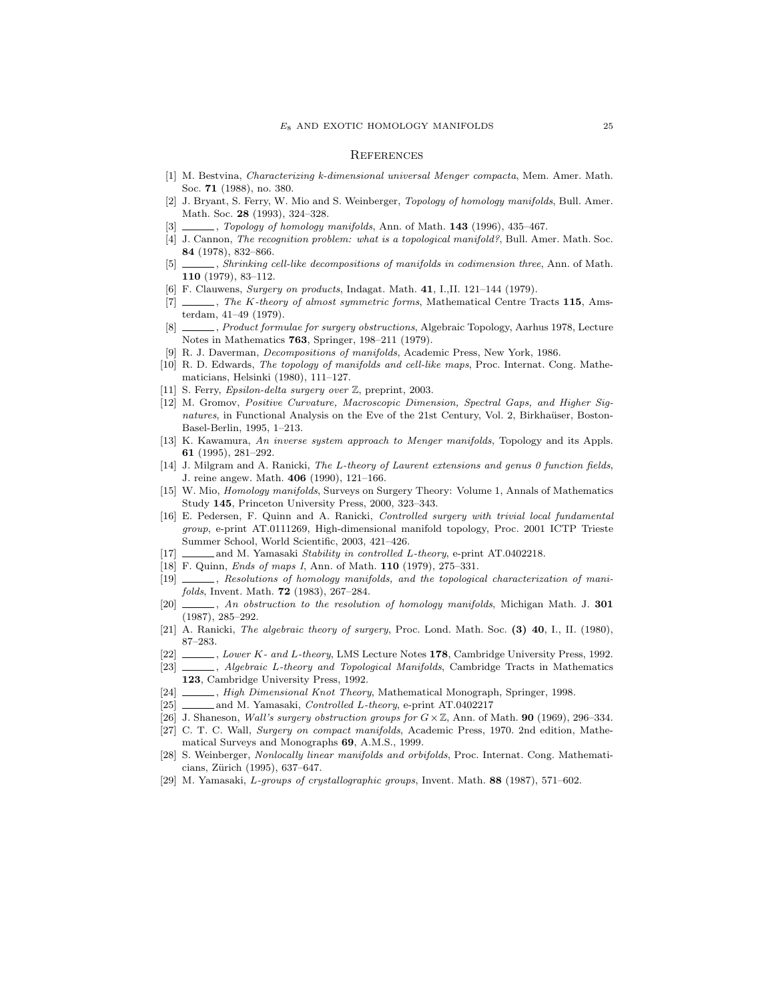#### **REFERENCES**

- [1] M. Bestvina, Characterizing k-dimensional universal Menger compacta, Mem. Amer. Math. Soc. 71 (1988), no. 380.
- [2] J. Bryant, S. Ferry, W. Mio and S. Weinberger, Topology of homology manifolds, Bull. Amer. Math. Soc. 28 (1993), 324–328.
- $\_\_$ , Topology of homology manifolds, Ann. of Math. 143 (1996), 435–467.
- [4] J. Cannon, The recognition problem: what is a topological manifold?, Bull. Amer. Math. Soc. 84 (1978), 832–866.
- [5] , Shrinking cell-like decompositions of manifolds in codimension three, Ann. of Math. 110 (1979), 83–112.
- [6] F. Clauwens, Surgery on products, Indagat. Math. 41, I.,II. 121–144 (1979).
- [7]  $\ldots$ , The K-theory of almost symmetric forms, Mathematical Centre Tracts 115, Amsterdam, 41–49 (1979).
- [8] , Product formulae for surgery obstructions, Algebraic Topology, Aarhus 1978, Lecture Notes in Mathematics 763, Springer, 198–211 (1979).
- [9] R. J. Daverman, Decompositions of manifolds, Academic Press, New York, 1986.
- [10] R. D. Edwards, The topology of manifolds and cell-like maps, Proc. Internat. Cong. Mathematicians, Helsinki (1980), 111–127.
- [11] S. Ferry, Epsilon-delta surgery over Z, preprint, 2003.
- [12] M. Gromov, Positive Curvature, Macroscopic Dimension, Spectral Gaps, and Higher Signatures, in Functional Analysis on the Eve of the 21st Century, Vol. 2, Birkhaüser, Boston-Basel-Berlin, 1995, 1–213.
- [13] K. Kawamura, An inverse system approach to Menger manifolds, Topology and its Appls. 61 (1995), 281–292.
- [14] J. Milgram and A. Ranicki, The L-theory of Laurent extensions and genus 0 function fields, J. reine angew. Math. 406 (1990), 121–166.
- [15] W. Mio, Homology manifolds, Surveys on Surgery Theory: Volume 1, Annals of Mathematics Study 145, Princeton University Press, 2000, 323–343.
- [16] E. Pedersen, F. Quinn and A. Ranicki, Controlled surgery with trivial local fundamental group, e-print AT.0111269, High-dimensional manifold topology, Proc. 2001 ICTP Trieste Summer School, World Scientific, 2003, 421–426.
- [17] \_\_\_\_\_\_\_\_ and M. Yamasaki Stability in controlled L-theory, e-print AT.0402218.
- [18] F. Quinn, Ends of maps I, Ann. of Math. 110 (1979), 275–331.
- [19] , Resolutions of homology manifolds, and the topological characterization of manifolds, Invent. Math. 72 (1983), 267–284.
- [20]  $\qquad \qquad$ , An obstruction to the resolution of homology manifolds, Michigan Math. J. 301 (1987), 285–292.
- [21] A. Ranicki, The algebraic theory of surgery, Proc. Lond. Math. Soc. (3) 40, I., II. (1980), 87–283.
- [22] , Lower K- and L-theory, LMS Lecture Notes 178, Cambridge University Press, 1992.
- [23]  $\_\_\_\_\$  Algebraic L-theory and Topological Manifolds, Cambridge Tracts in Mathematics 123, Cambridge University Press, 1992.
- [24] , High Dimensional Knot Theory, Mathematical Monograph, Springer, 1998.
- [25] and M. Yamasaki, Controlled L-theory, e-print AT.0402217
- [26] J. Shaneson, Wall's surgery obstruction groups for  $G \times \mathbb{Z}$ , Ann. of Math. 90 (1969), 296–334.
- [27] C. T. C. Wall, Surgery on compact manifolds, Academic Press, 1970. 2nd edition, Mathematical Surveys and Monographs 69, A.M.S., 1999.
- [28] S. Weinberger, Nonlocally linear manifolds and orbifolds, Proc. Internat. Cong. Mathematicians, Zürich (1995), 637–647.
- [29] M. Yamasaki, L-groups of crystallographic groups, Invent. Math. 88 (1987), 571–602.